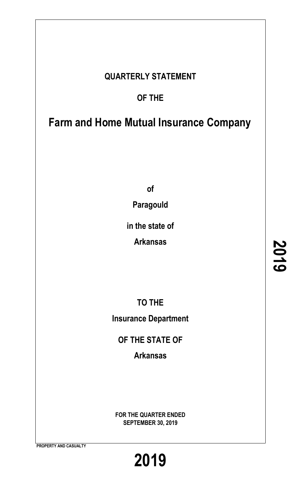## **QUARTERLY STATEMENT**

# **OF THE**

# **Farm and Home Mutual Insurance Company**

**of**

**Paragould**

**in the state of**

**Arkansas**

**TO THE Insurance Department**

**OF THE STATE OF**

**Arkansas**

**FOR THE QUARTER ENDED SEPTEMBER 30, 2019**

**2019**

**PROPERTY AND CASUALTY**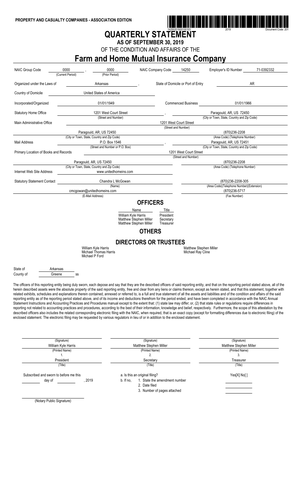

# **QUARTERLY STATEMENT**

**AS OF SEPTEMBER 30, 2019**

OF THE CONDITION AND AFFAIRS OF THE

# **Farm and Home Mutual Insurance Company**

| <b>NAIC Group Code</b>                                                                                                                                                                                                                                                                                                                                                                                                                                                                                                                                                                                                                                                                                                                                                                                                                                                                                                                                                                                                                                                                                                                                                                                                                                                                                                                                                                                                                                                                                                                                     | 0000<br>(Current Period)                                               | 0000<br>(Prior Period)                                                  | NAIC Company Code                                            | 14250                                       | Employer's ID Number                                          | 71-0392332 |
|------------------------------------------------------------------------------------------------------------------------------------------------------------------------------------------------------------------------------------------------------------------------------------------------------------------------------------------------------------------------------------------------------------------------------------------------------------------------------------------------------------------------------------------------------------------------------------------------------------------------------------------------------------------------------------------------------------------------------------------------------------------------------------------------------------------------------------------------------------------------------------------------------------------------------------------------------------------------------------------------------------------------------------------------------------------------------------------------------------------------------------------------------------------------------------------------------------------------------------------------------------------------------------------------------------------------------------------------------------------------------------------------------------------------------------------------------------------------------------------------------------------------------------------------------------|------------------------------------------------------------------------|-------------------------------------------------------------------------|--------------------------------------------------------------|---------------------------------------------|---------------------------------------------------------------|------------|
| Organized under the Laws of                                                                                                                                                                                                                                                                                                                                                                                                                                                                                                                                                                                                                                                                                                                                                                                                                                                                                                                                                                                                                                                                                                                                                                                                                                                                                                                                                                                                                                                                                                                                | Arkansas                                                               |                                                                         |                                                              | State of Domicile or Port of Entry          |                                                               | AR         |
| Country of Domicile                                                                                                                                                                                                                                                                                                                                                                                                                                                                                                                                                                                                                                                                                                                                                                                                                                                                                                                                                                                                                                                                                                                                                                                                                                                                                                                                                                                                                                                                                                                                        | United States of America                                               |                                                                         |                                                              |                                             |                                                               |            |
| Incorporated/Organized                                                                                                                                                                                                                                                                                                                                                                                                                                                                                                                                                                                                                                                                                                                                                                                                                                                                                                                                                                                                                                                                                                                                                                                                                                                                                                                                                                                                                                                                                                                                     |                                                                        | 01/01/1949                                                              |                                                              | <b>Commenced Business</b>                   | 01/01/1966                                                    |            |
| <b>Statutory Home Office</b>                                                                                                                                                                                                                                                                                                                                                                                                                                                                                                                                                                                                                                                                                                                                                                                                                                                                                                                                                                                                                                                                                                                                                                                                                                                                                                                                                                                                                                                                                                                               |                                                                        | 1201 West Court Street                                                  |                                                              |                                             | Paragould, AR, US 72450                                       |            |
| Main Administrative Office                                                                                                                                                                                                                                                                                                                                                                                                                                                                                                                                                                                                                                                                                                                                                                                                                                                                                                                                                                                                                                                                                                                                                                                                                                                                                                                                                                                                                                                                                                                                 |                                                                        | (Street and Number)                                                     |                                                              | 1201 West Court Street                      | (City or Town, State, Country and Zip Code)                   |            |
|                                                                                                                                                                                                                                                                                                                                                                                                                                                                                                                                                                                                                                                                                                                                                                                                                                                                                                                                                                                                                                                                                                                                                                                                                                                                                                                                                                                                                                                                                                                                                            |                                                                        |                                                                         |                                                              | (Street and Number)                         |                                                               |            |
|                                                                                                                                                                                                                                                                                                                                                                                                                                                                                                                                                                                                                                                                                                                                                                                                                                                                                                                                                                                                                                                                                                                                                                                                                                                                                                                                                                                                                                                                                                                                                            | Paragould, AR, US 72450<br>(City or Town, State, Country and Zip Code) |                                                                         |                                                              |                                             | (870)236-2208<br>(Area Code) (Telephone Number)               |            |
| <b>Mail Address</b>                                                                                                                                                                                                                                                                                                                                                                                                                                                                                                                                                                                                                                                                                                                                                                                                                                                                                                                                                                                                                                                                                                                                                                                                                                                                                                                                                                                                                                                                                                                                        |                                                                        | P.O. Box 1546                                                           |                                                              |                                             | Paragould, AR, US 72451                                       |            |
|                                                                                                                                                                                                                                                                                                                                                                                                                                                                                                                                                                                                                                                                                                                                                                                                                                                                                                                                                                                                                                                                                                                                                                                                                                                                                                                                                                                                                                                                                                                                                            |                                                                        | (Street and Number or P.O. Box)                                         |                                                              |                                             | (City or Town, State, Country and Zip Code)                   |            |
| Primary Location of Books and Records                                                                                                                                                                                                                                                                                                                                                                                                                                                                                                                                                                                                                                                                                                                                                                                                                                                                                                                                                                                                                                                                                                                                                                                                                                                                                                                                                                                                                                                                                                                      |                                                                        |                                                                         |                                                              | 1201 West Court Street                      |                                                               |            |
|                                                                                                                                                                                                                                                                                                                                                                                                                                                                                                                                                                                                                                                                                                                                                                                                                                                                                                                                                                                                                                                                                                                                                                                                                                                                                                                                                                                                                                                                                                                                                            |                                                                        |                                                                         |                                                              | (Street and Number)                         |                                                               |            |
|                                                                                                                                                                                                                                                                                                                                                                                                                                                                                                                                                                                                                                                                                                                                                                                                                                                                                                                                                                                                                                                                                                                                                                                                                                                                                                                                                                                                                                                                                                                                                            | Paragould, AR, US 72450                                                |                                                                         |                                                              |                                             | (870)236-2208                                                 |            |
| Internet Web Site Address                                                                                                                                                                                                                                                                                                                                                                                                                                                                                                                                                                                                                                                                                                                                                                                                                                                                                                                                                                                                                                                                                                                                                                                                                                                                                                                                                                                                                                                                                                                                  | (City or Town, State, Country and Zip Code)                            | www.unitedhomeins.com                                                   |                                                              |                                             | (Area Code) (Telephone Number)                                |            |
|                                                                                                                                                                                                                                                                                                                                                                                                                                                                                                                                                                                                                                                                                                                                                                                                                                                                                                                                                                                                                                                                                                                                                                                                                                                                                                                                                                                                                                                                                                                                                            |                                                                        |                                                                         |                                                              |                                             |                                                               |            |
| <b>Statutory Statement Contact</b>                                                                                                                                                                                                                                                                                                                                                                                                                                                                                                                                                                                                                                                                                                                                                                                                                                                                                                                                                                                                                                                                                                                                                                                                                                                                                                                                                                                                                                                                                                                         |                                                                        | Chandra L McGowan<br>(Name)                                             |                                                              |                                             | (870)236-2208-305<br>(Area Code)(Telephone Number)(Extension) |            |
|                                                                                                                                                                                                                                                                                                                                                                                                                                                                                                                                                                                                                                                                                                                                                                                                                                                                                                                                                                                                                                                                                                                                                                                                                                                                                                                                                                                                                                                                                                                                                            | cmcgowan@unitedhomeins.com                                             |                                                                         |                                                              |                                             | (870) 236-5717                                                |            |
|                                                                                                                                                                                                                                                                                                                                                                                                                                                                                                                                                                                                                                                                                                                                                                                                                                                                                                                                                                                                                                                                                                                                                                                                                                                                                                                                                                                                                                                                                                                                                            | (E-Mail Address)                                                       |                                                                         |                                                              |                                             | (Fax Number)                                                  |            |
|                                                                                                                                                                                                                                                                                                                                                                                                                                                                                                                                                                                                                                                                                                                                                                                                                                                                                                                                                                                                                                                                                                                                                                                                                                                                                                                                                                                                                                                                                                                                                            |                                                                        | William Kyle Harris<br>Matthew Stephen Miller<br>Matthew Stephen Miller | Name<br>President<br>Secretary<br>Treasurer<br><b>OTHERS</b> | Title                                       |                                                               |            |
|                                                                                                                                                                                                                                                                                                                                                                                                                                                                                                                                                                                                                                                                                                                                                                                                                                                                                                                                                                                                                                                                                                                                                                                                                                                                                                                                                                                                                                                                                                                                                            |                                                                        |                                                                         | <b>DIRECTORS OR TRUSTEES</b>                                 |                                             |                                                               |            |
|                                                                                                                                                                                                                                                                                                                                                                                                                                                                                                                                                                                                                                                                                                                                                                                                                                                                                                                                                                                                                                                                                                                                                                                                                                                                                                                                                                                                                                                                                                                                                            | William Kyle Harris<br>Michael Thomas Harris<br>Michael P Ford         |                                                                         |                                                              | Matthew Stephen Miller<br>Michael Ray Cline |                                                               |            |
| State of<br>Arkansas                                                                                                                                                                                                                                                                                                                                                                                                                                                                                                                                                                                                                                                                                                                                                                                                                                                                                                                                                                                                                                                                                                                                                                                                                                                                                                                                                                                                                                                                                                                                       |                                                                        |                                                                         |                                                              |                                             |                                                               |            |
| County of<br>Greene                                                                                                                                                                                                                                                                                                                                                                                                                                                                                                                                                                                                                                                                                                                                                                                                                                                                                                                                                                                                                                                                                                                                                                                                                                                                                                                                                                                                                                                                                                                                        | SS                                                                     |                                                                         |                                                              |                                             |                                                               |            |
| The officers of this reporting entity being duly sworn, each depose and say that they are the described officers of said reporting entity, and that on the reporting period stated above, all of the<br>herein described assets were the absolute property of the said reporting entity, free and clear from any liens or claims thereon, except as herein stated, and that this statement, together with<br>related exhibits, schedules and explanations therein contained, annexed or referred to, is a full and true statement of all the assets and liabilities and of the condition and affairs of the said<br>reporting entity as of the reporting period stated above, and of its income and deductions therefrom for the period ended, and have been completed in accordance with the NAIC Annual<br>Statement Instructions and Accounting Practices and Procedures manual except to the extent that: (1) state law may differ; or, (2) that state rules or regulations require differences in<br>reporting not related to accounting practices and procedures, according to the best of their information, knowledge and belief, respectively. Furthermore, the scope of this attestation by the<br>described officers also includes the related corresponding electronic filing with the NAIC, when required, that is an exact copy (except for formatting differences due to electronic filing) of the<br>enclosed statement. The electronic filing may be requested by various regulators in lieu of or in addition to the enclosed statement. |                                                                        |                                                                         |                                                              |                                             |                                                               |            |
|                                                                                                                                                                                                                                                                                                                                                                                                                                                                                                                                                                                                                                                                                                                                                                                                                                                                                                                                                                                                                                                                                                                                                                                                                                                                                                                                                                                                                                                                                                                                                            | (Signature)                                                            |                                                                         | (Signature)                                                  |                                             | (Signature)                                                   |            |
|                                                                                                                                                                                                                                                                                                                                                                                                                                                                                                                                                                                                                                                                                                                                                                                                                                                                                                                                                                                                                                                                                                                                                                                                                                                                                                                                                                                                                                                                                                                                                            | William Kyle Harris                                                    |                                                                         | Matthew Stephen Miller                                       |                                             | Matthew Stephen Miller                                        |            |
|                                                                                                                                                                                                                                                                                                                                                                                                                                                                                                                                                                                                                                                                                                                                                                                                                                                                                                                                                                                                                                                                                                                                                                                                                                                                                                                                                                                                                                                                                                                                                            | (Printed Name)                                                         |                                                                         | (Printed Name)                                               |                                             | (Printed Name)                                                |            |

1.  $2.$  3. President Secretary Secretary Secretary Secretary Secretary Secretary Secretary Secretary Secretary Secretary Secretary Secretary Secretary Secretary Secretary Secretary Secretary Secretary Secretary Secretary Secretary Se

|                                        |      |           | -------                        |         | .           |
|----------------------------------------|------|-----------|--------------------------------|---------|-------------|
| (Title)                                |      |           | Title)                         | (Title) |             |
| Subscribed and sworn to before me this |      |           | a. Is this an original filing? |         | Yes[X] No[] |
| day of                                 | 2019 | b. If no. | 1. State the amendment number  |         |             |
|                                        |      |           | . Date filed                   |         |             |

3. Number of pages attached

(Notary Public Signature)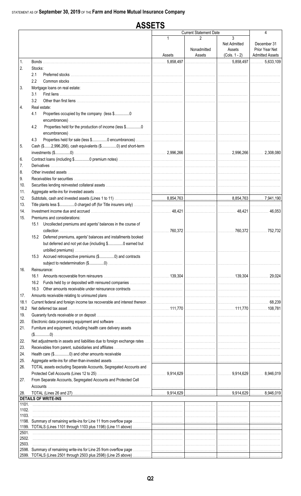#### **ASSETS Current Statement Date**  $\overline{\mathbf{A}}$  $\overline{3}$  $\mathfrak{p}$ Net Admitted December 31 Nonadmitted Prior Year Net Assets **Admitted Assets** (Cols. 1 - 2) Assets Assets 5.858.497  $\ldots 5.633.109$  $\mathbf{1}$ Bonds. 5,858,497  $\overline{2}$ . Stocks:  $2.1$ Preferred stocks  $2.2$ Common stocks  $\overline{3}$ Mortgage loans on real estate:  $3.1$ First liens ............. 32 4. Real estate:  $4.1$ Properties occupied by the company (less \$.................0 Properties held for the production of income (less \$................0  $4.2$ Properties held for sale (less \$................0 encumbrances) ..  $4.3$ 5 Cash (\$.......2,996,266), cash equivalents (\$................0) and short-term 2.996.266 2.996.266 2.308,080 Contract loans (including \$................0 premium notes)... 6. **Derivatives**  $\overline{7}$ . 8. Other invested assets 9. Receivables for securities...  $10.$ Securities lending reinvested collateral assets . 11. Aggregate write-ins for invested assets ...  $12.$ Subtotals, cash and invested assets (Lines 1 to 11) 8,854,763 8,854,763 7,941,190 13. Title plants less \$................0 charged off (for Title insurers only)  $14$ 48.421 48.421  $46.053$  $15<sub>1</sub>$ Premiums and considerations: 15.1 Uncollected premiums and agents' balances in the course of  $\ldots \ldots \ldots$  752,732 collection ....................  $\ldots$  760.372  $...760,372$ 15.2 Deferred premiums, agents' balances and installments booked but deferred and not yet due (including \$................0 earned but unbilled premiums)... 15.3 Accrued retrospective premiums (\$................0) and contracts subject to redetermination (\$.................0) .................. 16. Reinsurance: 16.1 Amounts recoverable from reinsurers ................. 139.304 139.304 29.024 16.2 Funds held by or deposited with reinsured companies 16.3 Other amounts receivable under reinsurance contracts  $17.$ Amounts receivable relating to uninsured plans .... 18.1 Current federal and foreign income tax recoverable and interest thereon 68,239 18.2 Net deferred tax asset ..... 108 781 111 770 111 770  $19$ Guaranty funds receivable or on deposit ..  $20<sub>1</sub>$ Electronic data processing equipment and software .........  $21<sub>1</sub>$ Furniture and equipment, including health care delivery assets  $(\$............0)$ 22. Net adjustments in assets and liabilities due to foreign exchange rates ... 23. Receivables from parent, subsidiaries and affiliates. 24. Health care (\$................0) and other amounts receivable 25. Aggregate write-ins for other-than-invested assets. TOTAL assets excluding Separate Accounts, Segregated Accounts and 26. 9,914,629 9,914,629 8,946,019 27. From Separate Accounts, Segregated Accounts and Protected Cell Accounts 28 TOTAL (Lines 26 and 27) 9,914,629 9,914,629 8.946.019 **DETAILS OF WRITE-INS**  $1101$ 1102. 1103. 1198. Summary of remaining write-ins for Line 11 from overflow page 1199. TOTALS (Lines 1101 through 1103 plus 1198) (Line 11 above) 2501 2502. 2503 2598. Summary of remaining write-ins for Line 25 from overflow page 2599. TOTALS (Lines 2501 through 2503 plus 2598) (Line 25 above)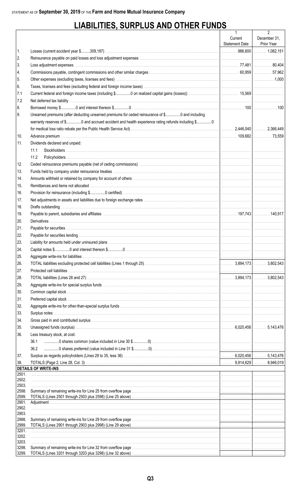# **LIABILITIES, SURPLUS AND OTHER FUNDS**

|                |                                                                                                                                                                                                                                    | 1              | $\overline{2}$ |
|----------------|------------------------------------------------------------------------------------------------------------------------------------------------------------------------------------------------------------------------------------|----------------|----------------|
|                |                                                                                                                                                                                                                                    | Current        | December 31,   |
|                |                                                                                                                                                                                                                                    | Statement Date | Prior Year     |
| 1.             |                                                                                                                                                                                                                                    |                |                |
| 2.<br>3.       |                                                                                                                                                                                                                                    |                |                |
|                |                                                                                                                                                                                                                                    |                |                |
| 4.             |                                                                                                                                                                                                                                    |                |                |
| 5.             |                                                                                                                                                                                                                                    |                |                |
| 6.             |                                                                                                                                                                                                                                    |                |                |
| 7.1            |                                                                                                                                                                                                                                    |                |                |
| 7.2            |                                                                                                                                                                                                                                    |                |                |
| 8.             |                                                                                                                                                                                                                                    |                |                |
| 9.             | Unearned premiums (after deducting unearned premiums for ceded reinsurance of \$0 and including                                                                                                                                    |                |                |
|                | warranty reserves of \$0 and accrued accident and health experience rating refunds including \$0                                                                                                                                   |                |                |
|                |                                                                                                                                                                                                                                    |                |                |
| 10.            |                                                                                                                                                                                                                                    |                |                |
| 11.            | Dividends declared and unpaid:                                                                                                                                                                                                     |                |                |
|                | 11.1                                                                                                                                                                                                                               |                |                |
|                | 11.2                                                                                                                                                                                                                               |                |                |
| 12.            |                                                                                                                                                                                                                                    |                |                |
| 13.            |                                                                                                                                                                                                                                    |                |                |
| 14.            |                                                                                                                                                                                                                                    |                |                |
| 15.            |                                                                                                                                                                                                                                    |                |                |
| 16.            |                                                                                                                                                                                                                                    |                |                |
| 17.            |                                                                                                                                                                                                                                    |                |                |
| 18.            |                                                                                                                                                                                                                                    |                |                |
| 19.            |                                                                                                                                                                                                                                    |                |                |
| 20.            |                                                                                                                                                                                                                                    |                |                |
| 21.            |                                                                                                                                                                                                                                    |                |                |
| 22.            |                                                                                                                                                                                                                                    |                |                |
| 23.            |                                                                                                                                                                                                                                    |                |                |
| 24.            |                                                                                                                                                                                                                                    |                |                |
| 25.            |                                                                                                                                                                                                                                    |                |                |
| 26.            |                                                                                                                                                                                                                                    |                |                |
| 27.            |                                                                                                                                                                                                                                    |                |                |
| 28.            |                                                                                                                                                                                                                                    |                |                |
| 29.            |                                                                                                                                                                                                                                    |                |                |
| 30.            |                                                                                                                                                                                                                                    |                |                |
| 31.            |                                                                                                                                                                                                                                    |                |                |
| 32.            |                                                                                                                                                                                                                                    |                |                |
| 33.            |                                                                                                                                                                                                                                    |                |                |
|                |                                                                                                                                                                                                                                    |                |                |
| 34.            |                                                                                                                                                                                                                                    |                |                |
| 35.            |                                                                                                                                                                                                                                    |                |                |
| 36.            | Less treasury stock, at cost:                                                                                                                                                                                                      |                |                |
|                | 36.1                                                                                                                                                                                                                               |                |                |
|                | 36.2                                                                                                                                                                                                                               |                |                |
| 37.            |                                                                                                                                                                                                                                    |                |                |
| 38.            | <b>DETAILS OF WRITE-INS</b>                                                                                                                                                                                                        |                |                |
| 2501.          |                                                                                                                                                                                                                                    |                |                |
| 2502.          |                                                                                                                                                                                                                                    |                |                |
| 2503.          |                                                                                                                                                                                                                                    |                |                |
| 2598.          |                                                                                                                                                                                                                                    |                |                |
| 2599.<br>2901. |                                                                                                                                                                                                                                    |                |                |
| 2902.          |                                                                                                                                                                                                                                    |                |                |
| 2903.          |                                                                                                                                                                                                                                    |                |                |
| 2998.          | Summary of remaining write-ins for Line 29 from overflow page <i>macuum contained contained contained as contained write-ins</i> for Line 29 from overflow page material contained and a series of the series of the series of the |                |                |
| 2999.<br>3201. |                                                                                                                                                                                                                                    |                |                |
| 3202.          |                                                                                                                                                                                                                                    |                |                |
| 3203.          |                                                                                                                                                                                                                                    |                |                |
| 3298.          |                                                                                                                                                                                                                                    |                |                |
| 3299.          |                                                                                                                                                                                                                                    |                |                |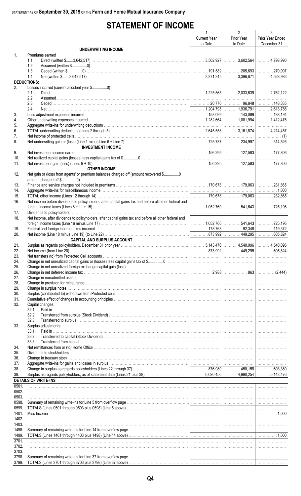# **STATEMENT OF INCOME**

|                    |                                                                                                                                                                                                                                | $\mathbf{1}$        | $\overline{2}$ | 3                             |
|--------------------|--------------------------------------------------------------------------------------------------------------------------------------------------------------------------------------------------------------------------------|---------------------|----------------|-------------------------------|
|                    |                                                                                                                                                                                                                                | <b>Current Year</b> | Prior Year     | Prior Year Ended              |
|                    |                                                                                                                                                                                                                                | to Date             | to Date        | December 31                   |
|                    | <b>UNDERWRITING INCOME</b>                                                                                                                                                                                                     |                     |                |                               |
| $\mathbf{1}$       | Premiums earned                                                                                                                                                                                                                |                     |                |                               |
|                    | 1.1                                                                                                                                                                                                                            |                     |                |                               |
|                    | 1.2                                                                                                                                                                                                                            |                     |                |                               |
|                    | 1.3                                                                                                                                                                                                                            |                     |                |                               |
|                    | 1.4                                                                                                                                                                                                                            |                     |                |                               |
| <b>DEDUCTIONS:</b> |                                                                                                                                                                                                                                |                     |                |                               |
| 2.                 |                                                                                                                                                                                                                                |                     |                |                               |
|                    | 2.1                                                                                                                                                                                                                            |                     |                |                               |
|                    | 2.2                                                                                                                                                                                                                            |                     |                |                               |
|                    | 2.3                                                                                                                                                                                                                            |                     |                |                               |
|                    | 2.4                                                                                                                                                                                                                            |                     |                |                               |
| 3.                 |                                                                                                                                                                                                                                |                     |                |                               |
| 4.                 |                                                                                                                                                                                                                                |                     |                |                               |
| 5.                 |                                                                                                                                                                                                                                |                     |                |                               |
| 6.                 |                                                                                                                                                                                                                                |                     |                |                               |
| 7.                 |                                                                                                                                                                                                                                |                     |                |                               |
| 8.                 |                                                                                                                                                                                                                                |                     |                |                               |
|                    | <b>INVESTMENT INCOME</b>                                                                                                                                                                                                       |                     |                |                               |
| 9.                 |                                                                                                                                                                                                                                |                     |                |                               |
| 10.                |                                                                                                                                                                                                                                |                     |                |                               |
| 11.                |                                                                                                                                                                                                                                |                     |                |                               |
|                    | <b>OTHER INCOME</b>                                                                                                                                                                                                            |                     |                |                               |
| 12.                | Net gain or (loss) from agents' or premium balances charged off (amount recovered \$0                                                                                                                                          |                     |                |                               |
|                    |                                                                                                                                                                                                                                |                     |                |                               |
| 13.                |                                                                                                                                                                                                                                |                     |                |                               |
| 14.                |                                                                                                                                                                                                                                |                     |                |                               |
| 15.                |                                                                                                                                                                                                                                |                     |                |                               |
| 16.                | Net income before dividends to policyholders, after capital gains tax and before all other federal and                                                                                                                         |                     |                |                               |
|                    |                                                                                                                                                                                                                                |                     |                |                               |
| 17.                |                                                                                                                                                                                                                                |                     |                |                               |
| 18.                | Net income, after dividends to policyholders, after capital gains tax and before all other federal and                                                                                                                         |                     |                |                               |
|                    |                                                                                                                                                                                                                                |                     |                |                               |
| 19.                |                                                                                                                                                                                                                                |                     |                |                               |
| 20.                |                                                                                                                                                                                                                                |                     |                |                               |
|                    | <b>CAPITAL AND SURPLUS ACCOUNT</b>                                                                                                                                                                                             |                     |                |                               |
| 21.                |                                                                                                                                                                                                                                |                     |                |                               |
| 22.                |                                                                                                                                                                                                                                |                     |                |                               |
| 23.                |                                                                                                                                                                                                                                |                     |                |                               |
| 24.                |                                                                                                                                                                                                                                |                     |                |                               |
|                    |                                                                                                                                                                                                                                |                     |                |                               |
| 25.                |                                                                                                                                                                                                                                |                     |                |                               |
| 26.                |                                                                                                                                                                                                                                |                     |                |                               |
| 27.<br>28.         |                                                                                                                                                                                                                                |                     |                |                               |
| 29.                |                                                                                                                                                                                                                                |                     |                |                               |
|                    |                                                                                                                                                                                                                                |                     |                |                               |
| 30.                |                                                                                                                                                                                                                                |                     |                |                               |
| 31.<br>32.         |                                                                                                                                                                                                                                |                     |                |                               |
|                    | Capital changes:<br>32.1                                                                                                                                                                                                       |                     |                |                               |
|                    | 32.2                                                                                                                                                                                                                           |                     |                |                               |
|                    |                                                                                                                                                                                                                                |                     |                |                               |
|                    | 32.3                                                                                                                                                                                                                           |                     |                |                               |
| 33.                | Surplus adjustments:<br>Paid in                                                                                                                                                                                                |                     |                |                               |
|                    | 33.1                                                                                                                                                                                                                           |                     |                |                               |
|                    | 33.2<br>33.3                                                                                                                                                                                                                   |                     |                |                               |
|                    |                                                                                                                                                                                                                                |                     |                |                               |
| 34.                |                                                                                                                                                                                                                                |                     |                |                               |
| 35.                |                                                                                                                                                                                                                                |                     |                |                               |
| 36.<br>37.         | Aggregate write-ins for gains and losses in surplus with the substitution of the content of the content of the content of the content of the content of the content of the content of the content of the content of the conten |                     |                |                               |
|                    |                                                                                                                                                                                                                                |                     |                |                               |
| 38.                |                                                                                                                                                                                                                                |                     |                |                               |
| 39.                |                                                                                                                                                                                                                                |                     |                |                               |
|                    | <b>DETAILS OF WRITE-INS</b>                                                                                                                                                                                                    |                     |                |                               |
| 0501.              |                                                                                                                                                                                                                                |                     |                |                               |
| 0502.              |                                                                                                                                                                                                                                |                     |                |                               |
| 0503.              |                                                                                                                                                                                                                                |                     |                |                               |
| 0598.              |                                                                                                                                                                                                                                |                     |                |                               |
| 0599.              |                                                                                                                                                                                                                                |                     |                |                               |
| 1401.              |                                                                                                                                                                                                                                |                     |                | $\left  \ldots \right $ 1,000 |
| 1402.              |                                                                                                                                                                                                                                |                     |                |                               |
| 1403.              |                                                                                                                                                                                                                                |                     |                |                               |
| 1498.              |                                                                                                                                                                                                                                |                     |                |                               |
| 1499.              |                                                                                                                                                                                                                                |                     |                |                               |
| 3701.              |                                                                                                                                                                                                                                |                     |                |                               |
| 3702.              |                                                                                                                                                                                                                                |                     |                |                               |
| 3703.              |                                                                                                                                                                                                                                |                     |                |                               |
| 3798.              |                                                                                                                                                                                                                                |                     |                |                               |
| 3799.              |                                                                                                                                                                                                                                |                     |                |                               |
|                    |                                                                                                                                                                                                                                |                     |                |                               |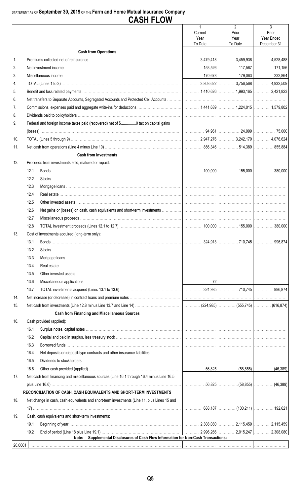## STATEMENT AS OF September 30, 2019 OF THE Farm and Home Mutual Insurance Company

|          |      |                                                                                             | $\mathbf{1}$<br>Current | $\overline{2}$<br>Prior         | 3<br>Prior  |
|----------|------|---------------------------------------------------------------------------------------------|-------------------------|---------------------------------|-------------|
|          |      |                                                                                             | Year                    | Year                            | Year Ended  |
|          |      |                                                                                             | To Date                 | To Date                         | December 31 |
|          |      | <b>Cash from Operations</b>                                                                 |                         |                                 |             |
| 1.       |      |                                                                                             |                         |                                 |             |
| 2.       |      |                                                                                             |                         |                                 |             |
| 3.       |      |                                                                                             |                         |                                 |             |
| 4.       |      |                                                                                             |                         |                                 |             |
| 5.       |      |                                                                                             |                         |                                 |             |
| 6.       |      |                                                                                             |                         |                                 |             |
| 7.<br>8. |      |                                                                                             |                         |                                 |             |
| 9.       |      | Federal and foreign income taxes paid (recovered) net of \$0 tax on capital gains           |                         |                                 |             |
|          |      |                                                                                             |                         |                                 |             |
| 10.      |      |                                                                                             |                         |                                 |             |
| 11.      |      |                                                                                             |                         |                                 |             |
|          |      | <b>Cash from Investments</b>                                                                |                         |                                 |             |
| 12.      |      | Proceeds from investments sold, matured or repaid:                                          |                         |                                 |             |
|          | 12.1 |                                                                                             |                         |                                 |             |
|          | 12.2 |                                                                                             |                         |                                 |             |
|          | 12.3 |                                                                                             |                         |                                 |             |
|          | 12.4 |                                                                                             |                         |                                 |             |
|          | 12.5 |                                                                                             |                         |                                 |             |
|          | 12.6 |                                                                                             |                         |                                 |             |
|          | 12.7 |                                                                                             |                         |                                 |             |
|          | 12.8 |                                                                                             |                         |                                 |             |
| 13.      |      | Cost of investments acquired (long-term only):                                              |                         |                                 |             |
|          | 13.1 |                                                                                             |                         |                                 |             |
|          | 13.2 |                                                                                             |                         |                                 |             |
|          | 13.3 |                                                                                             |                         |                                 |             |
|          | 13.4 |                                                                                             |                         |                                 |             |
|          | 13.5 |                                                                                             |                         |                                 |             |
|          | 13.6 |                                                                                             |                         |                                 |             |
|          | 13.7 |                                                                                             |                         |                                 |             |
| 14.      |      |                                                                                             |                         |                                 |             |
| 15.      |      |                                                                                             |                         |                                 |             |
|          |      | <b>Cash from Financing and Miscellaneous Sources</b>                                        |                         |                                 |             |
| 16.      |      | Cash provided (applied):                                                                    |                         |                                 |             |
|          | 16.1 |                                                                                             |                         |                                 |             |
|          | 16.2 |                                                                                             |                         |                                 |             |
|          | 16.3 |                                                                                             |                         |                                 |             |
|          | 16.4 |                                                                                             |                         |                                 |             |
|          | 16.5 |                                                                                             |                         |                                 |             |
|          | 16.6 |                                                                                             |                         |                                 |             |
| 17.      |      | Net cash from financing and miscellaneous sources (Line 16.1 through 16.4 minus Line 16.5   |                         |                                 |             |
|          |      |                                                                                             |                         |                                 |             |
|          |      | RECONCILIATION OF CASH, CASH EQUIVALENTS AND SHORT-TERM INVESTMENTS                         |                         |                                 |             |
| 18.      |      | Net change in cash, cash equivalents and short-term investments (Line 11, plus Lines 15 and |                         |                                 |             |
|          |      |                                                                                             | .                       | . 688,187   (100,211)   192,621 |             |
| 19.      |      | Cash, cash equivalents and short-term investments:                                          |                         |                                 |             |
|          | 19.1 |                                                                                             |                         |                                 |             |
|          | 19.2 |                                                                                             |                         |                                 |             |
| 20.0001  |      | Supplemental Disclosures of Cash Flow Information for Non-Cash Transactions:<br>Note:       |                         |                                 |             |
|          |      |                                                                                             |                         |                                 |             |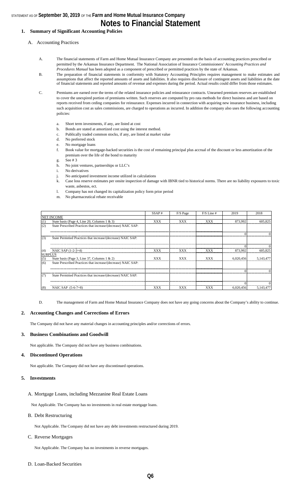### STATEMENT AS OF **September 30, 2019** OF THE **Farm and Home Mutual Insurance Company Notes to Financial Statement**

#### **1. Summary of Significant Accounting Policies**

#### A. Accounting Practices

- A. The financial statements of Farm and Home Mutual Insurance Company are presented on the basis of accounting practices prescribed or permitted by the Arkansas Insurance Department. The National Association of Insurance Commissioners' *Accounting Practices and Procedures Manual* has been adopted as a component of prescribed or permitted practices by the state of Arkansas.
- B. The preparation of financial statements in conformity with Statutory Accounting Principles requires management to make estimates and assumptions that affect the reported amounts of assets and liabilities. It also requires disclosure of contingent assets and liabilities at the date of financial statements and reported amounts of revenue and expenses during the period. Actual results could differ from those estimates.
- C. Premiums are earned over the terms of the related insurance policies and reinsurance contracts. Unearned premium reserves are established to cover the unexpired portion of premiums written. Such reserves are computed by pro rata methods for direct business and are based on reports received from ceding companies for reinsurance. Expenses incurred in connection with acquiring new insurance business, including such acquisition cost as sales commissions, are charged to operations as incurred. In addition the company also uses the following accounting policies:
	- Short term investments, if any, are listed at cost
	- b. Bonds are stated at amortized cost using the interest method.
	- c. Publically traded common stocks, if any, are listed at market value
	- d. No preferred stock
	- No mortgage loans
	- f. Book value for mortgage-backed securities is the cost of remaining principal plus accrual of the discount or less amortization of the premium over the life of the bond to maturity
	- g. See # 3
	- h. No joint ventures, partnerships or LLC's
	- i. No derivatives
	- j. No anticipated investment income utilized in calculations
	- k. Case loss reserve estimates per onsite inspection of damage with IBNR tied to historical norms. There are no liability exposures to toxic waste, asbestos, ect.
	- l. Company has not changed its capitalization policy form prior period
	- m. No pharmaceutical rebate receivable

|                |                                                               | SSAP#      | F/S Page   | $F/S$ Line # | 2019      | 2018      |
|----------------|---------------------------------------------------------------|------------|------------|--------------|-----------|-----------|
|                | <b>NET INCOME</b>                                             |            |            |              |           |           |
| (1)            | State basis (Page 4, Line 20, Columns 1 & 3)                  | <b>XXX</b> | <b>XXX</b> | <b>XXX</b>   | 873.992   | 605,825   |
| (2)            | State Prescribed Practices that increase/(decrease) NAIC SAP: |            |            |              |           |           |
|                |                                                               |            |            |              |           |           |
| (3)            | State Permitted Practices that increase/(decrease) NAIC SAP:  |            |            |              |           |           |
|                |                                                               |            |            |              |           |           |
| (4)            | NAIC SAP $(1-2-3=4)$                                          | <b>XXX</b> | <b>XXX</b> | <b>XXX</b>   | 873.992   | 605,825   |
| <b>SURPLUS</b> |                                                               |            |            |              |           |           |
| (5)            | State basis (Page 3, Line 37, Columns 1 & 2)                  | <b>XXX</b> | <b>XXX</b> | <b>XXX</b>   | 6.020.456 | 5.143.477 |
| (6)            | State Prescribed Practices that increase/(decrease) NAIC SAP: |            |            |              |           |           |
|                |                                                               |            |            |              |           |           |
| (7)            | State Permitted Practices that increase/(decrease) NAIC SAP:  |            |            |              |           |           |
|                |                                                               |            |            |              |           |           |
| (8)            | NAIC SAP $(5-6-7=8)$                                          | XXX        | <b>XXX</b> | XXX          | 6.020.456 | 5.143.477 |

D. The management of Farm and Home Mutual Insurance Company does not have any going concerns about the Company's ability to continue.

#### **2. Accounting Changes and Corrections of Errors**

The Company did not have any material changes in accounting principles and/or corrections of errors.

#### **3. Business Combinations and Goodwill**

Not applicable. The Company did not have any business combinations.

#### **4. Discontinued Operations**

Not applicable. The Company did not have any discontinued operations.

#### **5. Investments**

#### A. Mortgage Loans, including Mezzanine Real Estate Loans

Not Applicable. The Company has no investments in real estate mortgage loans.

#### B. Debt Restructuring

Not Applicable. The Company did not have any debt investments restructured during 2019.

#### C. Reverse Mortgages

Not Applicable. The Company has no investments in reverse mortgages.

#### D. Loan-Backed Securities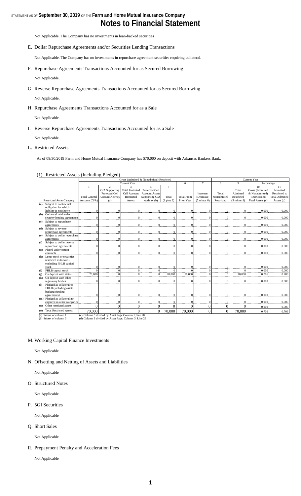### STATEMENT AS OF **September 30, 2019** OF THE **Farm and Home Mutual Insurance Company Notes to Financial Statement**

Not Applicable. The Company has no investments in loan-backed securities

E. Dollar Repurchase Agreements and/or Securities Lending Transactions

Not Applicable. The Company has no investments in repurchase agreement securities requiring collateral.

- F. Repurchase Agreements Transactions Accounted for as Secured Borrowing Not Applicable.
- G. Reverse Repurchase Agreements Transactions Accounted for as Secured Borrowing

Not Applicable.

H. Repurchase Agreements Transactions Accounted for as a Sale

Not Applicable.

I. Reverse Repurchase Agreements Transactions Accounted for as a Sale

Not Applicable.

#### L. Restricted Assets

As of 09/30/2019 Farm and Home Mutual Insurance Company has \$70,000 on deposit with Arkansas Bankers Bank.

| (1) Restricted Assets (Including Pledged) |  |  |
|-------------------------------------------|--|--|
|                                           |  |  |

|         |                                  |                      |                                                      |                        | Gross (Admitted & Nonadmited) Restricted |                |                   |                        | Current Year |                        |                  |                       |
|---------|----------------------------------|----------------------|------------------------------------------------------|------------------------|------------------------------------------|----------------|-------------------|------------------------|--------------|------------------------|------------------|-----------------------|
|         |                                  |                      |                                                      | <b>Current Year</b>    |                                          |                | 6                 | $\tau$                 | 8            | 9                      | Percentage       |                       |
|         |                                  |                      | $\overline{2}$                                       | $\mathbf{\hat{z}}$     |                                          | $\mathbf{5}$   |                   |                        |              |                        | 10               | 11                    |
|         |                                  |                      | G/A Supporting                                       | <b>Total Protected</b> | Protected Cell                           |                |                   |                        |              | Total                  | Gross (Admitted  | Admitted              |
|         |                                  |                      | Protected Cell                                       | Cell Account           | <b>Account Assets</b>                    |                |                   | Increase/              | Total        | Admitted               | & Nonadmitted)   | Restricted to         |
|         |                                  | <b>Total General</b> | <b>Account Activity</b>                              | Restricted             | Supporting G/A                           | Total          | <b>Total From</b> | (Decrease)             | Nonadmitted  | Restricted             | Restricted to    | <b>Total Admitted</b> |
|         | <b>Restricted Asset Category</b> | Account (G/A)        | (a)                                                  | Assets                 | Activity (b)                             | $(1$ plus $3)$ | Prior Year        | $(5 \text{ minus } 6)$ | Restricted   | $(5 \text{ minus } 8)$ | Total Assets (c) | Assets (d)            |
| (a)     | Subject to contractual           |                      |                                                      |                        |                                          |                |                   |                        |              |                        |                  |                       |
|         | obligation for which             |                      |                                                      |                        |                                          |                |                   |                        |              |                        |                  |                       |
|         | liability is not shown           | $\Omega$             | $\Omega$                                             |                        | $\Omega$                                 | $\Omega$       | $\theta$          |                        |              |                        | 0.000            | 0.000                 |
| (b)     | Collateral held under            |                      |                                                      |                        |                                          |                |                   |                        |              |                        |                  |                       |
|         | security lending agreements      | $\Omega$             | $\Omega$                                             | $\Omega$               | $\Omega$                                 | $\Omega$       | $\theta$          | $\Omega$               | $\Omega$     |                        | 0.000            | 0.000                 |
| (c)     | Subject to repurchase            |                      |                                                      |                        |                                          |                |                   |                        |              |                        |                  |                       |
|         | agreements                       | $\mathbf{0}$         | $\Omega$                                             | $\Omega$               | $\Omega$                                 | $\mathbf{0}$   | $\theta$          | $\Omega$               | $\theta$     | $\Omega$               | 0.000            | 0.000                 |
| (d)     | Subject to reverse               |                      |                                                      |                        |                                          |                |                   |                        |              |                        |                  |                       |
|         | repurchase agreements            | $\Omega$             | $\Omega$                                             | $\Omega$               | $\Omega$                                 | $\mathbf{0}$   | $\theta$          | $\Omega$               | $\Omega$     | $\Omega$               | 0.000            | 0.000                 |
| (e)     | Subject to dollar repurchase     |                      |                                                      |                        |                                          |                |                   |                        |              |                        |                  |                       |
|         | agreements                       | $\Omega$             | $\Omega$                                             | $\Omega$               | $\Omega$                                 | $\mathbf{0}$   | $\theta$          | $\Omega$               | $\Omega$     | $\Omega$               | 0.000            | 0.000                 |
| (f)     | Subject to dollar reverse        |                      |                                                      |                        |                                          |                |                   |                        |              |                        |                  |                       |
|         | repurchase agreements            | $\Omega$             | $\Omega$                                             | $\Omega$               | $\Omega$                                 | $\Omega$       | $\Omega$          | $\Omega$               | $\Omega$     | $\Omega$               | 0.000            | 0.000                 |
| (g)     | Placed under option              |                      |                                                      |                        |                                          |                |                   |                        |              |                        |                  |                       |
|         | contracts                        | $\Omega$             | $\Omega$                                             | $\Omega$               | $\Omega$                                 | $\Omega$       | $\Omega$          |                        | $\theta$     | $\Omega$               | 0.000            | 0.000                 |
| (h)     | Letter stock or securities       |                      |                                                      |                        |                                          |                |                   |                        |              |                        |                  |                       |
|         | restricted as to sale -          |                      |                                                      |                        |                                          |                |                   |                        |              |                        |                  |                       |
|         | excluding FHLB capital           |                      |                                                      |                        |                                          |                |                   |                        |              |                        |                  |                       |
|         | stock                            | $\mathbf{0}$         |                                                      | $\Omega$               | $\Omega$                                 | $\bf{0}$       | $\theta$          | $\Omega$               | $\Omega$     |                        | 0.000            | 0.000                 |
| (i)     | FHLB capital stock               | $\Omega$             | $\Omega$                                             | $\Omega$               | $\Omega$                                 | $\Omega$       |                   |                        | $\theta$     |                        | 0.000            | 0.000                 |
| (i)     | On deposit with states           | 70,000               | $\Omega$                                             | $\Omega$               | $\Omega$                                 | 70,000         | 70,000            | $\Omega$               | $\Omega$     | 70,000                 | 0.706            | 0.706                 |
| (k)     | On deposit with other            |                      |                                                      |                        |                                          |                |                   |                        |              |                        |                  |                       |
|         | regulatory bodies                | $\Omega$             | $\Omega$                                             | $\Omega$               | $\Omega$                                 | $\Omega$       | $\theta$          | $\Omega$               | $\theta$     |                        | 0.000            | 0.000                 |
| (1)     | Pledged as collateral to         |                      |                                                      |                        |                                          |                |                   |                        |              |                        |                  |                       |
|         | FHLB (including assets           |                      |                                                      |                        |                                          |                |                   |                        |              |                        |                  |                       |
|         | backing funding                  |                      |                                                      |                        |                                          |                |                   |                        |              |                        |                  |                       |
|         | agreements)                      | $\Omega$             | $\Omega$                                             | $\Omega$               | $\Omega$                                 | $\mathbf{0}$   | $\theta$          | $\Omega$               | $\Omega$     |                        | 0.000            | 0.000                 |
|         | (m) Pledged as collateral not    |                      |                                                      |                        |                                          |                |                   |                        |              |                        |                  |                       |
|         | captured in other categories     | $\mathbf{0}$         |                                                      | $\Omega$               | $\Omega$                                 | $\mathbf{0}$   | $\theta$          | $\Omega$               | $\Omega$     | $\Omega$               | 0.000            | 0.000                 |
| (n)     | Other restricted assets          | $\Omega$             | $\theta$                                             | $\theta$               | $\Omega$                                 | $\overline{0}$ | $\Omega$          | $\Omega$               | 0            | $\Omega$               | 0.000            | 0.000                 |
| $\circ$ | <b>Total Restricted Assets</b>   | 70,000               | 0                                                    | $\Omega$               | $\Omega$                                 | 70,000         | 70,000            | $\Omega$               | $\Omega$     | 70,000                 | 0.706            | 0.706                 |
|         | (a) Subset of column 1           |                      | (c) Column 5 divided by Asset Page Column 1, Line 28 |                        |                                          |                |                   |                        |              |                        |                  |                       |

(a) Subset of column 1 (b) Subset of column 3 (c) Column 5 divided by Asset Page Column 1,Line 28 (d) Column 9 divided by Asset Page, Column 3, Line 28

#### M. Working Capital Finance Investments

Not Applicable

N. Offsetting and Netting of Assets and Liabilities

Not Applicable

O. Structured Notes

Not Applicable

P. 5GI Securities

Not Applicable

Q. Short Sales

Not Applicable

R. Prepayment Penalty and Acceleration Fees

Not Applicable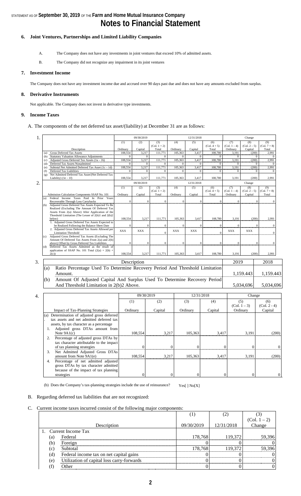#### **6. Joint Ventures, Partnerships and Limited Liability Companies**

- A. The Company does not have any investments in joint ventures that exceed 10% of admitted assets.
- B. The Company did not recognize any impairment in its joint ventures

#### **7. Investment Income**

The Company does not have any investment income due and accrued over 90 days past due and does not have any amounts excluded from surplus.

#### **8. Derivative Instruments**

Not applicable. The Company does not invest in derivative type investments.

#### **9. Income Taxes**

A. The components of the net deferred tax asset/(liability) at December 31 are as follows:

| 1.                        |                  |                                                                                                     |                           | 09/30/2019              |                         |                | 12/31/2018              |                                             | Change                |                       |                         |
|---------------------------|------------------|-----------------------------------------------------------------------------------------------------|---------------------------|-------------------------|-------------------------|----------------|-------------------------|---------------------------------------------|-----------------------|-----------------------|-------------------------|
|                           |                  |                                                                                                     | (1)                       | (2)                     | (3)<br>$(Col. 1 + 2)$   | (4)            | (5)                     | (6)<br>$(Col. 4 + 5)$                       | (7)<br>$(Col. 1 - 4)$ | (8)<br>$(Col. 2 - 5)$ | (9)<br>$(Col. 7 + 8)$   |
|                           |                  | Description                                                                                         | Ordinary                  | Capital                 | Total                   | Ordinary       | Capital                 | Total                                       | Ordinary              | Capital               | Total                   |
|                           | (a)              | <b>Gross Deferred Tax Assets</b>                                                                    | 108,554                   | 3,217                   | 111,771                 | 105,363        | 3,417                   | 108,780                                     | 3,191                 | (200)                 | 2,991                   |
|                           | (b)<br>(c)       | <b>Statutory Valuation Allowance Adjustments</b><br>Adjusted Gross Deferred Tax Assets $(1a - 1b)$  | $\overline{0}$<br>108,554 | $\overline{0}$<br>3,217 | $\mathbf{0}$<br>111,771 | 105,363        | $\overline{0}$<br>3,417 | $\overline{0}$<br>$\overline{0}$<br>108,780 | $\mathbf{0}$<br>3,191 | $\bf{0}$<br>(200)     | $\overline{0}$<br>2,991 |
|                           | (d)              | Deferred Tax Assets Nonadmitted                                                                     | $\mathbf{0}$              | $\mathbf{0}$            | $\Omega$                |                | $\Omega$                | $\Omega$<br>$\Omega$                        |                       | $\Omega$              | $\mathbf{0}$            |
|                           | (e)              | Subtotal Net Admitted Deferred Tax Asset $(1c - 1d)$                                                | 108,554                   | 3,217                   | 111,771                 | 105,363        | 3,417                   | 108,780                                     | 3,191                 | (200)                 | 2.991                   |
|                           | (f)<br>(g)       | Deferred Tax Liabilities<br>Net Admitted Deferred Tax Asset/(Net Deferred Tax                       | $\mathbf{0}$              | $\mathbf{0}$            | $\mathbf{0}$            |                | $\mathbf{0}$            | $\mathbf{0}$<br>$\mathbf{0}$                | $\Omega$              | $\mathbf{0}$          | $\Omega$                |
|                           |                  | Liability) $(1e - 1f)$                                                                              | 108,554                   | 3,217                   | 111,771                 | 105,363        | 3,417                   | 108,780                                     | 3,191                 | (200)                 | 2,991                   |
| 2.                        |                  |                                                                                                     |                           | 09/30/2019              |                         |                | 12/31/2018              |                                             |                       | Change                |                         |
|                           |                  |                                                                                                     | (1)                       | (2)                     | (3)<br>$(Col. 1 + 2)$   | (4)            | (5)                     | (6)<br>$(Col. 4 + 5)$                       | (7)<br>$(Col. 1 - 4)$ | (8)<br>$(Col. 2 - 5)$ | (9)<br>$(Col. 7 + 8)$   |
|                           |                  | Admission Calculation Components SSAP No. 101                                                       | Ordinary                  | Capital                 | Total                   | Ordinary       | Capital                 | Total                                       | Ordinary              | Capital               | Total                   |
|                           | (a)              | Federal Income Taxes Paid In Prior Years                                                            |                           |                         |                         |                |                         |                                             |                       |                       |                         |
|                           | (b)              | Recoverable Through Loss Carrybacks<br>Adjusted Gross Deferred Tax Assets Expected To Be            | $\mathbf{0}$              | $\boldsymbol{0}$        | $\Omega$                |                | $\theta$                | $\mathbf{0}$<br>$\boldsymbol{0}$            | $\mathbf{0}$          |                       | $\theta$                |
|                           |                  | Realized (Excluding The Amount Of Deferred Tax                                                      |                           |                         |                         |                |                         |                                             |                       |                       |                         |
|                           |                  | Assets From 2(a) Above) After Application of the                                                    |                           |                         |                         |                |                         |                                             |                       |                       |                         |
|                           |                  | Threshold Limitation (The Lesser of 2(b)1 and 2(b)2<br>below)                                       | 108,554                   | 3,217                   | 111,771                 | 105,363        | 3,417                   | 108,780                                     | 3,191                 | (200)                 | 2,991                   |
|                           |                  | 1. Adjusted Gross Deferred Tax Assets Expected to                                                   |                           |                         |                         |                |                         |                                             |                       |                       |                         |
|                           |                  | be Realized Following the Balance Sheet Date<br>2. Adjusted Gross Deferred Tax Assets Allowed per   | $\overline{0}$            | $\mathbf{0}$            | $\theta$                |                | $\overline{0}$          | $\Omega$<br>$\boldsymbol{0}$                | $\Omega$              |                       | $\theta$                |
|                           |                  | <b>Limitation Threshold</b>                                                                         | <b>XXX</b>                | <b>XXX</b>              | $\overline{0}$          | <b>XXX</b>     | <b>XXX</b>              | $\overline{0}$                              | <b>XXX</b>            | <b>XXX</b>            | $\theta$                |
|                           | (c)              | Adjusted Gross Deferred Tax Assets (Excluding The                                                   |                           |                         |                         |                |                         |                                             |                       |                       |                         |
|                           |                  | Amount Of Deferred Tax Assets From 2(a) and 2(b)<br>above) Offset by Gross Deferred Tax Liabilities | $\theta$                  | $\Omega$                | $\theta$                |                | $\overline{0}$          | $\Omega$<br>$\theta$                        | $\theta$              |                       | $\mathbf{0}$            |
|                           | (d)              | Deferred Tax Assets Admitted as the result of                                                       |                           |                         |                         |                |                         |                                             |                       |                       |                         |
|                           |                  | application of SSAP No. 101 Total $(2(a) + 2(b) +$<br>2(c)                                          | 108,554                   | 3,217                   | 111,771                 | 105,363        | 3,417                   | 108,780                                     | 3,191                 | (200)                 | 2,991                   |
|                           |                  |                                                                                                     |                           |                         |                         |                |                         |                                             |                       |                       |                         |
| 3.<br>2019<br>Description |                  |                                                                                                     |                           |                         |                         | 2018           |                         |                                             |                       |                       |                         |
|                           | (a)              | Ratio Percentage Used To Determine Recovery Period And Threshold Limitation                         |                           |                         |                         |                |                         |                                             |                       |                       |                         |
|                           |                  | Amount.                                                                                             |                           |                         |                         |                |                         |                                             | 1,159.443             |                       | 1,159.443               |
|                           | (b)              | Amount Of Adjusted Capital And Surplus Used To Determine Recovery Period                            |                           |                         |                         |                |                         |                                             |                       |                       |                         |
|                           |                  | And Threshold Limitation in 2(b)2 Above.                                                            |                           |                         |                         |                |                         |                                             |                       | 5,034,696             | 5,034,696               |
|                           |                  |                                                                                                     |                           |                         |                         |                |                         |                                             |                       |                       |                         |
| 4.                        |                  |                                                                                                     |                           | 09/30/2019              |                         |                |                         | 12/31/2018                                  |                       | Change                |                         |
|                           |                  |                                                                                                     | (1)                       |                         | (2)                     |                | (3)                     | (4)                                         |                       | (5)                   | (6)                     |
|                           |                  |                                                                                                     |                           |                         |                         |                |                         |                                             |                       | $(Col. 1 - 3)$        | $(Col. 2 - 4)$          |
|                           |                  | <b>Impact of Tax-Planning Strategies</b>                                                            | Ordinary                  |                         | Capital                 |                | Ordinary                | Capital                                     |                       | Ordinary              | Capital                 |
|                           |                  | (a) Determination of adjusted gross deferred                                                        |                           |                         |                         |                |                         |                                             |                       |                       |                         |
|                           |                  | tax assets and net admitted deferred tax                                                            |                           |                         |                         |                |                         |                                             |                       |                       |                         |
|                           |                  | assets, by tax character as a percentage                                                            |                           |                         |                         |                |                         |                                             |                       |                       |                         |
|                           | 1.               | Adjusted gross DTAs amount from                                                                     |                           |                         |                         |                |                         |                                             |                       |                       |                         |
|                           |                  | Note $9A1(c)$                                                                                       |                           | 108,554                 |                         | 3,217          | 105,363                 | 3,417                                       |                       | 3,191                 | (200)                   |
|                           | 2.               | Percentage of adjusted gross DTAs by                                                                |                           |                         |                         |                |                         |                                             |                       |                       |                         |
|                           |                  | tax character attributable to the impact                                                            |                           |                         |                         |                |                         |                                             |                       |                       |                         |
|                           |                  | of tax planning strategies                                                                          |                           | $\overline{0}$          |                         | $\overline{0}$ | $\Omega$                |                                             | $\theta$              | $\Omega$              | $\mathbf{0}$            |
|                           | $\mathfrak{Z}$ . | Net Admitted Adjusted Gross DTAs                                                                    |                           |                         |                         |                |                         |                                             |                       |                       |                         |
|                           | 4.               | amount from Note 9A1(e)<br>Percentage of net admitted adjusted                                      |                           | 108,554                 |                         | 3,217          | 105,363                 | 3,417                                       |                       | 3,191                 | (200)                   |
|                           |                  | gross DTAs by tax character admitted                                                                |                           |                         |                         |                |                         |                                             |                       |                       |                         |
|                           |                  | because of the impact of tax planning                                                               |                           |                         |                         |                |                         |                                             |                       |                       |                         |
|                           |                  | strategies                                                                                          |                           | $\overline{0}$          |                         | $\mathbf{0}$   | $\theta$                |                                             | $\Omega$              | $\Omega$              | $\mathbf{0}$            |
|                           |                  |                                                                                                     |                           |                         |                         |                |                         |                                             |                       |                       |                         |

(b) Does the Company's tax-planning strategies include the use of reinsurance?  $Yes[ ] No[X]$ 

#### B. Regarding deferred tax liabilities that are not recognized:

C. Current income taxes incurred consist of the following major components:

|     |                                            |            |            | $\frac{(Col. 1-2)}{Change}$ |
|-----|--------------------------------------------|------------|------------|-----------------------------|
|     | Description                                | 09/30/2019 | 12/31/2018 |                             |
|     | 1. Current Income Tax                      |            |            |                             |
| (a) | Federal                                    | 178,768    | 119,372    | 59,396                      |
| (b) | Foreign                                    |            |            |                             |
| (C) | Subtotal                                   | 178.768    | 119.372    | 59.396                      |
| (d) | Federal income tax on net capital gains    |            |            |                             |
| (e) | Utilization of capital loss carry-forwards |            |            |                             |
|     | ∩ther                                      |            |            |                             |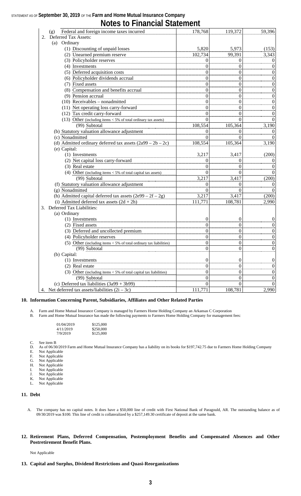### STATEMENT AS OF **September 30, 2019** OF THE **Farm and Home Mutual Insurance Company**

**Notes to Financial Statement**

|    | Federal and foreign income taxes incurred<br>(g)                     | 178,768          | 119,372  | 59,396           |
|----|----------------------------------------------------------------------|------------------|----------|------------------|
| 2. | Deferred Tax Assets:                                                 |                  |          |                  |
|    | (a) Ordinary                                                         |                  |          |                  |
|    | (1) Discounting of unpaid losses                                     | 5,820            | 5,973    | (153)            |
|    | (2) Unearned premium reserve                                         | 102,734          | 99,391   | 3,343            |
|    | (3) Policyholder reserves                                            | 0                | 0        | $\boldsymbol{0}$ |
|    | (4) Investments                                                      | $\theta$         | 0        | $\boldsymbol{0}$ |
|    | (5) Deferred acquisition costs                                       | 0                | 0        | $\boldsymbol{0}$ |
|    | (6) Policyholder dividends accrual                                   | 0                | 0        | $\boldsymbol{0}$ |
|    | (7) Fixed assets                                                     | 0                | 0        | $\boldsymbol{0}$ |
|    | (8) Compensation and benefits accrual                                | 0                | 0        | $\boldsymbol{0}$ |
|    | (9) Pension accrual                                                  | 0                | 0        | $\boldsymbol{0}$ |
|    | $(10)$ Receivables - nonadmitted                                     | 0                | 0        | $\boldsymbol{0}$ |
|    | (11) Net operating loss carry-forward                                | $\overline{0}$   | 0        | $\boldsymbol{0}$ |
|    | (12) Tax credit carry-forward                                        | $\theta$         | 0        | $\boldsymbol{0}$ |
|    | (13) Other (including items $<$ 5% of total ordinary tax assets)     | $\Omega$         | 0        | $\overline{0}$   |
|    | (99) Subtotal                                                        | 108,554          | 105,364  | 3,190            |
|    | (b) Statutory valuation allowance adjustment                         | 0                | 0        | $\theta$         |
|    | (c) Nonadmitted                                                      | 0                | $\theta$ | $\theta$         |
|    | (d) Admitted ordinary deferred tax assets $(2a99 - 2b - 2c)$         | 108,554          | 105,364  | 3,190            |
|    | (e) Capital:                                                         |                  |          |                  |
|    | (1) Investments                                                      | 3,217            | 3,417    | (200)            |
|    | (2) Net capital loss carry-forward                                   | $\Omega$         | 0        | $\boldsymbol{0}$ |
|    | (3) Real estate                                                      | $\theta$         | 0        | $\boldsymbol{0}$ |
|    | (4) Other (including items $<$ 5% of total capital tax assets)       | $\theta$         | 0        | $\boldsymbol{0}$ |
|    | (99) Subtotal                                                        | 3,217            | 3,417    | (200)            |
|    | (f) Statutory valuation allowance adjustment                         | $\theta$         | 0        | $\overline{0}$   |
|    | (g) Nonadmitted                                                      | $\Omega$         | 0        | $\boldsymbol{0}$ |
|    | (h) Admitted capital deferred tax assets $(2e99 – 2f – 2g)$          | 3,217            | 3,417    | (200)            |
|    | (i) Admitted deferred tax assets $(2d + 2h)$                         | 111,771          | 108,781  | 2,990            |
|    | 3. Deferred Tax Liabilities:                                         |                  |          |                  |
|    | (a) Ordinary                                                         |                  |          |                  |
|    | (1) Investments                                                      | $\theta$         | 0        | $\boldsymbol{0}$ |
|    | (2) Fixed assets                                                     | $\theta$         | 0        | $\boldsymbol{0}$ |
|    | (3) Deferred and uncollected premium                                 | 0                | 0        | $\boldsymbol{0}$ |
|    | (4) Policyholder reserves                                            | $\overline{0}$   | 0        | $\boldsymbol{0}$ |
|    | (5) Other (including items $<$ 5% of total ordinary tax liabilities) | $\overline{0}$   | 0        | $\boldsymbol{0}$ |
|    | (99) Subtotal                                                        | $\boldsymbol{0}$ | 0        | $\boldsymbol{0}$ |
|    | (b) Capital:                                                         |                  |          |                  |
|    | (1) Investments                                                      | $\boldsymbol{0}$ | 0        | $\boldsymbol{0}$ |
|    | (2) Real estate                                                      | $\overline{0}$   | 0        | $\boldsymbol{0}$ |
|    | (3) Other (including items $<$ 5% of total capital tax liabilities)  | 0                | 0        | $\boldsymbol{0}$ |
|    | (99) Subtotal                                                        | 0                | 0        | $\boldsymbol{0}$ |
|    | (c) Deferred tax liabilities $(3a99 + 3b99)$                         | $\theta$         | 0        | $\overline{0}$   |
|    | 4. Net deferred tax assets/liabilities $(2i – 3c)$                   | 111,771          | 108,781  | 2,990            |

#### **10. Information Concerning Parent, Subsidiaries, Affiliates and Other Related Parties**

A. Farm and Home Mutual Insurance Company is managed by Farmers Home Holding Company an Arkansas C Corporation<br>B. Farm and Home Mutual Insurance has made the following payments to Farmers Home Holding Company for managemen

Farm and Home Mutual Insurance has made the following payments to Farmers Home Holding Company for management fees:

| 01/04/2019 | \$125,000 |
|------------|-----------|
| 4/11/2019  | \$250,000 |
| 7/9/2019   | \$125,000 |

- C. See item B<br>D. As of 06/30 D. As of 06/30/2019 Farm and Home Mutual Insurance Company has a liability on its books for \$197,742.75 due to Farmers Home Holding Company E. Not Applicable<br>F. Not Applicable
- F. Not Applicable
- G. Not Applicable
- 
- H. Not Applicable<br>I. Not Applicable Not Applicable
- J. Not Applicable
- K. Not Applicable L. Not Applicable
- 

#### **11. Debt**

A. The company has no capital notes. It does have a \$50,000 line of credit with First National Bank of Paragould, AR. The outstanding balance as of 09/30/2019 was \$100. This line of credit is collateralized by a \$257,149.30 certificate of deposit at the same bank.

#### **12. Retirement Plans, Deferred Compensation, Postemployment Benefits and Compensated Absences and Other Postretirement Benefit Plans.**

Not Applicable

#### **13. Capital and Surplus, Dividend Restrictions and Quasi-Reorganizations**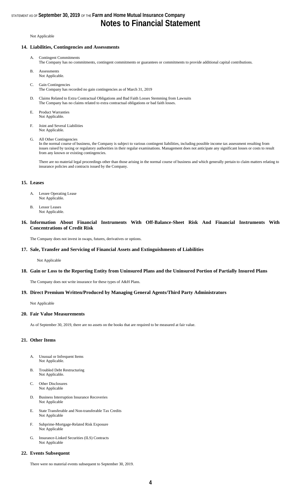#### Not Applicable

#### **14. Liabilities, Contingencies and Assessments**

- A. Contingent Commitments The Company has no commitments, contingent commitments or guarantees or commitments to provide additional capital contributions.
- B. Assessments Not Applicable.
- C. Gain Contingencies
- The Company has recorded no gain contingencies as of March 31, 2019
- D. Claims Related to Extra Contractual Obligations and Bad Faith Losses Stemming from Lawsuits The Company has no claims related to extra contractual obligations or bad faith losses.
- E. Product Warranties Not Applicable.
- F. Joint and Several Liabilities Not Applicable.
- G. All Other Contingencies

In the normal course of business, the Company is subject to various contingent liabilities, including possible income tax assessment resulting from issues raised by taxing or regulatory authorities in their regular examinations. Management does not anticipate any significant losses or costs to result from any known or existing contingencies.

There are no material legal proceedings other than those arising in the normal course of business and which generally pertain to claim matters relating to insurance policies and contracts issued by the Company.

#### **15. Leases**

- A. Lessee Operating Lease Not Applicable.
- B. Lessor Leases Not Applicable.

#### **16. Information About Financial Instruments With Off-Balance-Sheet Risk And Financial Instruments With Concentrations of Credit Risk**

The Company does not invest in swaps, futures, derivatives or options.

#### **17. Sale, Transfer and Servicing of Financial Assets and Extinguishments of Liabilities**

Not Applicable

#### **18. Gain or Loss to the Reporting Entity from Uninsured Plans and the Uninsured Portion of Partially Insured Plans**

The Company does not write insurance for these types of A&H Plans.

#### **19. Direct Premium Written/Produced by Managing General Agents/Third Party Administrators**

Not Applicable

#### **20. Fair Value Measurements**

As of September 30, 2019, there are no assets on the books that are required to be measured at fair value.

#### **21. Other Items**

- A. Unusual or Infrequent Items Not Applicable.
- B. Troubled Debt Restructuring Not Applicable.
- C. Other Disclosures Not Applicable
- D. Business Interruption Insurance Recoveries Not Applicable
- E. State Transferable and Non-transferable Tax Credits Not Applicable
- F. Subprime-Mortgage-Related Risk Exposure Not Applicable
- G. Insurance-Linked Securities (ILS) Contracts Not Applicable

#### **22. Events Subsequent**

There were no material events subsequent to September 30, 2019.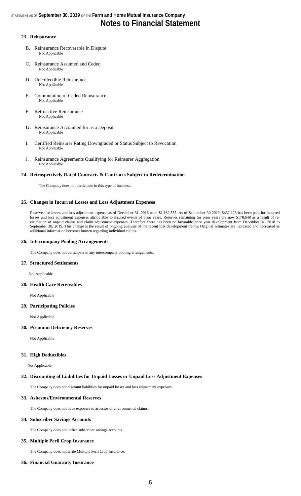#### **23. Reinsurance**

- B. Reinsurance Recoverable in Dispute Not Applicable
- C. Reinsurance Assumed and Ceded Not Applicable
- D. Uncollectible Reinsurance Not Applicable
- E. Commutation of Ceded Reinsurance Not Applicable
- F. Retroactive Reinsurance Not Applicable
- **G.** Reinsurance Accounted for as a Deposit Not Applicable
- I. Certified Reinsurer Rating Downgraded or Status Subject to Revocation Not Applicable
- J. Reinsurance Agreements Qualifying for Reinsurer Aggregation Not Applicable

#### **24. Retrospectively Rated Contracts & Contracts Subject to Redetermination**

The Company does not participate in this type of business.

#### **25. Changes in Incurred Losses and Loss Adjustment Expenses**

Reserves for losses and loss adjustment expense as of December 31, 2018 were \$1,162,555. As of September 30 2019, \$432,123 has been paid for incurred losses and loss adjustment expenses attributable to insured events of prior years. Reserves remaining for prior years are now \$178,648 as a result of reestimation of unpaid claims and claim adjustment expenses. Therefore there has been no favorable prior year development from December 31, 2018 to September 30, 2019. This change is the result of ongoing analysis of the recent loss development trends. Original estimates are increased and decreased as additional information becomes known regarding individual claims.

#### **26. Intercompany Pooling Arrangements**

The Company does not participate in any intercompany pooling arrangements.

#### **27. Structured Settlements**

Not Applicable

#### **28. Health Care Receivables**

Not Applicable

#### **29. Participating Policies**

Not Applicable

#### **30. Premium Deficiency Reserves**

Not Applicable

#### **31. High Deductibles**

Not Applicable

#### **32. Discounting of Liabilities for Unpaid Losses or Unpaid Loss Adjustment Expenses**

The Company does not discount liabilities for unpaid losses and loss adjustment expenses.

#### **33. Asbestos/Environmental Reserves**

The Company does not have exposure to asbestos or environmental claims.

#### **34. Subscriber Savings Accounts**

The Company does not utilize subscriber savings accounts.

#### **35. Multiple Peril Crop Insurance**

The Company does not write Multiple Peril Crop Insurance.

#### **36. Financial Guaranty Insurance**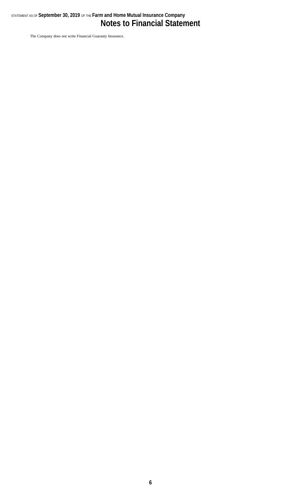### STATEMENT AS OF **September 30, 2019** OF THE **Farm and Home Mutual Insurance Company Notes to Financial Statement**

The Company does not write Financial Guaranty Insurance.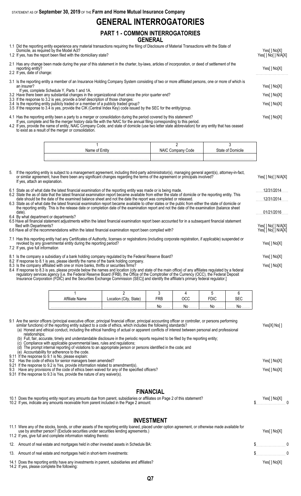STATEMENT AS OF **September 30, 2019** OF THE **Farm and Home Mutual Insurance Company**

## **GENERAL INTERROGATORIES**

#### **PART 1 - COMMON INTERROGATORIES GENERAL**

1.1 Did the reporting entity experience any material transactions requiring the filing of Disclosure of Material Transactions with the State of

| Domicile, as required by the Model Act?<br>1.2 If yes, has the report been filed with the domiciliary state?                                                                                                                                                                                                             | Yes[] No[X]<br>Yes[ ] No[ ] N/A[X] |
|--------------------------------------------------------------------------------------------------------------------------------------------------------------------------------------------------------------------------------------------------------------------------------------------------------------------------|------------------------------------|
| 2.1 Has any change been made during the year of this statement in the charter, by-laws, articles of incorporation, or deed of settlement of the<br>reporting entity?<br>2.2 If yes, date of change:                                                                                                                      |                                    |
| 3.1 Is the reporting entity a member of an Insurance Holding Company System consisting of two or more affiliated persons, one or more of which is<br>an insurer?<br>If yes, complete Schedule Y, Parts 1 and 1A.<br>3.2 Have there been any substantial changes in the organizational chart since the prior quarter end? | Yes[ ] No[X]<br>Yes[ ] No[X]       |
| 3.3 If the response to 3.2 is yes, provide a brief description of those changes:<br>3.4 Is the reporting entity publicly traded or a member of a publicly traded group?<br>3.5 If the response to 3.4 is yes, provide the CIK (Central Index Key) code issued by the SEC for the entity/group.                           | Yes[ ] No[X]                       |
|                                                                                                                                                                                                                                                                                                                          |                                    |

4.1 Has the reporting entity been a party to a merger or consolidation during the period covered by this statement? Yes[ ] No[X] If yes, complete and file the merger history data file with the NAIC for the annual filing corresponding to this period.

4.2 If yes, provide the name of entity, NAIC Company Code, and state of domicile (use two letter state abbreviation) for any entity that has ceased to exist as a result of the merger or consolidation.

| Name | Code<br>טוראיו<br>vullival | State of<br>'∿lle' |
|------|----------------------------|--------------------|
|      |                            |                    |

| 5. If the reporting entity is subject to a management agreement, including third-party administrator(s), managing general agent(s), attorney-in-fact,<br>or similar agreement, have there been any significant changes regarding the terms of the agreement or principals involved?<br>If yes, attach an explanation.                                                                                                                                                            | Yes[] No[] N/A[X]                      |
|----------------------------------------------------------------------------------------------------------------------------------------------------------------------------------------------------------------------------------------------------------------------------------------------------------------------------------------------------------------------------------------------------------------------------------------------------------------------------------|----------------------------------------|
| 6.1 State as of what date the latest financial examination of the reporting entity was made or is being made.                                                                                                                                                                                                                                                                                                                                                                    | 12/31/2014                             |
| 6.2 State the as of date that the latest financial examination report became available from either the state of domicile or the reporting entity. This<br>date should be the date of the examined balance sheet and not the date the report was completed or released.                                                                                                                                                                                                           | 12/31/2014                             |
| 6.3 State as of what date the latest financial examination report became available to other states or the public from either the state of domicile or<br>the reporting entity. This is the release date or completion date of the examination report and not the date of the examination (balance sheet<br>date).                                                                                                                                                                | 01/21/2016                             |
| 6.4 By what department or departments?<br>6.5 Have all financial statement adjustments within the latest financial examination report been accounted for in a subsequent financial statement<br>filed with Departments?<br>6.6 Have all of the recommendations within the latest financial examination report been complied with?                                                                                                                                                | Yes[] No[] N/A[X]<br>Yes[] No[] N/A[X] |
| 7.1 Has this reporting entity had any Certificates of Authority, licenses or registrations (including corporate registration, if applicable) suspended or<br>revoked by any governmental entity during the reporting period?<br>7.2 If yes, give full information                                                                                                                                                                                                                | Yes[ ] No[X]                           |
| 8.1 Is the company a subsidiary of a bank holding company regulated by the Federal Reserve Board?                                                                                                                                                                                                                                                                                                                                                                                | Yes[ ] No[X]                           |
| 8.2 If response to 8.1 is yes, please identify the name of the bank holding company.<br>8.3 Is the company affiliated with one or more banks, thrifts or securities firms?<br>8.4 If response to 8.3 is yes, please provide below the names and location (city and state of the main office) of any affiliates regulated by a federal<br>requisitory convices agency Lie the Eoderal Peserve Poard (EDD) the Office of the Comptreller of the Currency (OCC) the Eoderal Deposit | Yes[] No[X]                            |

regulatory services agency [i.e. the Federal Reserve Board (FRB), the Office of the Comptroller of the Currency (OCC), the Federal Deposit Insurance Corporation (FDIC) and the Securities Exchange Commission (SEC)] and identify the affiliate's primary federal regulator.]

| †iliate Name | State) | ℩∟ | $\sim$ $\sim$      | ∪וט                 |               |
|--------------|--------|----|--------------------|---------------------|---------------|
|              |        | Nr | 1. No <sub>.</sub> | NG<br>. <b>I YU</b> | 1. <b>INU</b> |

9.1 Are the senior officers (principal executive officer, principal financial officer, principal accounting officer or controller, or persons performing similar functions) of the reporting entity subject to a code of ethics, which includes the following standards? Yes[X] No[ ] (a) Honest and ethical conduct, including the ethical handling of actual or apparent conflicts of interest between personal and professional relationships; (b) Full, fair, accurate, timely and understandable disclosure in the periodic reports required to be filed by the reporting entity; (c) Compliance with applicable governmental laws, rules and regulations; (d) The prompt internal reporting of violations to an appropriate person or persons identified in the code; and (e) Accountability for adherence to the code. 9.11 If the response to 9.1 is No, please explain: 9.2 Has the code of ethics for senior managers been amended? Yes[ ] No[X]

- 9.21 If the response to 9.2 is Yes, provide information related to amendment(s).
- 9.3 Have any provisions of the code of ethics been waived for any of the specified officers? The state of the specified officers and the specified officers?
- 9.31 If the response to 9.3 is Yes, provide the nature of any waiver(s).

### **FINANCIAL**

| 10.1 Does the reporting entity report any amounts due from parent, subsidiaries or affiliates on Page 2 of this statement? | Yes[ ] No[X] |
|----------------------------------------------------------------------------------------------------------------------------|--------------|
| 10.2 If yes, indicate any amounts receivable from parent included in the Page 2 amount:                                    |              |
|                                                                                                                            |              |

#### **INVESTMENT**

| 11.1 Were any of the stocks, bonds, or other assets of the reporting entity loaned, placed under option agreement, or otherwise made available for<br>use by another person? (Exclude securities under securities lending agreements.)<br>11.2 If yes, give full and complete information relating thereto: | Yes[ ] No[X] |  |
|-------------------------------------------------------------------------------------------------------------------------------------------------------------------------------------------------------------------------------------------------------------------------------------------------------------|--------------|--|
| 12. Amount of real estate and mortgages held in other invested assets in Schedule BA:                                                                                                                                                                                                                       | $\sim$ 0     |  |
| 13. Amount of real estate and mortgages held in short-term investments:                                                                                                                                                                                                                                     | $\sim$ 0     |  |
| 14.1 Does the reporting entity have any investments in parent, subsidiaries and affiliates?<br>14.2 If yes, please complete the following:                                                                                                                                                                  | Yes[ ] No[X] |  |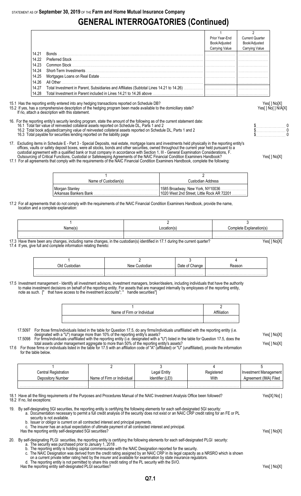# **GENERAL INTERROGATORIES (Continued)**

|       |                                                                   | Prior Year-End        | <b>Current Quarter</b> |
|-------|-------------------------------------------------------------------|-----------------------|------------------------|
|       |                                                                   | Book/Adjusted         | Book/Adjusted          |
|       |                                                                   | <b>Carrying Value</b> | Carrying Value         |
| 14.21 | <b>Bonds</b>                                                      |                       |                        |
| 14.22 |                                                                   |                       |                        |
| 14.23 | Common Stock                                                      |                       |                        |
| 14.24 |                                                                   |                       |                        |
| 14.25 |                                                                   |                       |                        |
| 14.26 | All Other                                                         |                       |                        |
| 14.27 |                                                                   |                       |                        |
| 14.28 | Total Investment in Parent included in Lines 14.21 to 14.26 above |                       |                        |

15.1 Has the reporting entity entered into any hedging transactions reported on Schedule DB? Yes[ ] No[X]

If no, attach a description with this statement.

## 15.2 If yes, has a comprehensive description of the hedging program been made available to the domiciliary state? Yesel 1 No [ ] No [ ] N/A[X]

- 16. For the reporting entity's security lending program, state the amount of the following as of the current statement date: 16.1 Total fair value of reinvested collateral assets reported on Schedule DL, Parts 1 and 2 **but a set a set a set a** set a set a set a set a protect on Schedule DL, Parts 1 and 2 **but a set a set a set a set a set a set** 
	- 16.2 Total book adjusted/carrying value of reinvested collateral assets reported on Schedule DL, Parts 1 and 2 \$. . . . . . . . . . . . . . . . . . . . . . . 0 16.2 Total book adjusted/carrying value of reinvested collateral assets reported on Schedule DL, Parts 1 and 2<br>16.3 Total payable for securities lending reported on the liability page the schedule DL, Parts 1 and 2 to the
- 17. Excluding items in Schedule E Part 3 Special Deposits, real estate, mortgage loans and investments held physically in the reporting entity's offices, vaults or safety deposit boxes, were all stocks, bonds and other securities, owned throughout the current year held pursuant to a custodial agreement with a qualified bank or trust company in accordance with Section 1, III - General Examination Considerations, F.
- Outsourcing of Critical Functions, Custodial or Safekeeping Agreements of the NAIC Financial Condition Examiners Handbook? Yes[ ] No[X] 17.1 For all agreements that comply with the requirements of the NAIC Financial Condition Examiners Handbook, complete the following:

1 and  $\overline{2}$ Name of Custodian(s) and Custodian Address Morgan Stanley . . . . . . . . . . . . . . . . . . . . . . . . . . . . . . . . . . . . . . . . . . . . . . . . . . . . . . . . . . . . 1585 Broadway, New York, NY10036 . . . . . . . . . . . . . . . . . . . . 1020 West 2nd Street, Little Rock AR 72201

17.2 For all agreements that do not comply with the requirements of the NAIC Financial Condition Examiners Handbook, provide the name, location and a complete explanation:

| Name(s | .ocation(s | Complete<br>ationi si |
|--------|------------|-----------------------|
|        |            |                       |

17.3 Have there been any changes, including name changes, in the custodian(s) identified in 17.1 during the current quarter? Yes[ ] No[X] 17.4 If yes, give full and complete information relating thereto:

| New | Jate | easor |
|-----|------|-------|
|     |      |       |

17.5 Investment management - Identify all investment advisors, investment managers, broker/dealers, including individuals that have the authority to make investment decisions on behalf of the reporting entity. For assets that are managed internally by employees of the reporting entity, note as such. [" that have access to the investment accounts"; " handle securities"]

| Name of Firm or Individual |  |
|----------------------------|--|
|                            |  |
|                            |  |

17.5097 For those firms/individuals listed in the table for Question 17.5, do any firms/individuals unaffiliated with the reporting entity (i.e. designated with a "U") manage more than 10% of the reporting entity's assets? Yes[ ] No[X] 17.5098 For firms/individuals unaffiliated with the reporting entity (i.e. designated with a "U") listed in the table for Question 17.5, does the

total assets under management aggregate to more than 50% of the reporting entity's assets? Yese and the reporting than the reporting entity's assets? 17.6 For those firms or individuals listed in the table for 17.5 with an affiliation code of "A" (affiliated) or "U" (unaffiliated), provide the information for the table below.

| Central Registration |                            | Legal Entity     | Registered | Investment Management |
|----------------------|----------------------------|------------------|------------|-----------------------|
| Depository Number    | Name of Firm or Individual | Identifier (LEI) | With       | Agreement (IMA) Filed |
|                      |                            |                  |            |                       |

18.1 Have all the filing requirements of the Purposes and Procedures Manual of the NAIC Investment Analysis Office been followed? Yes[X] No[ ] 18.2 If no, list exceptions:

19. By self-designating 5GI securities, the reporting entity is certifying the following elements for each self-designated 5GI security:

a. Documentation necessary to permit a full credit analysis of the security does not exist or an NAIC CRP credit rating for an FE or PL

- security is not available. b. Issuer or obligor is current on all contracted interest and principal payments.
- c. The insurer has an actual expectation of ultimate payment of all contracted interest and principal.
- Has the reporting entity self-designated 5GI securities? The reporting entity self-designated 5GI securities? Yes[] No[X]

#### 20. By self-designating PLGI securities, the reporting entity is certifying the following elements for each self-designated PLGI security:

a. The security was purchased prior to January 1, 2018 .

- b. The reporting entity is holding capital commensurate with the NAIC Designation reported for the security.
- c. The NAIC Designation was derived from the credit rating assigned by an NAIC CRP in its legal capacity as a NRSRO which is shown
- on a current private letter rating held by the insurer and available for examination by state insurance regulators. d. The reporting entity is not permitted to share this credit rating of the PL security with the SVO.

Has the reporting entity self-designated PLGI securities?<br>Has the reporting entity self-designated PLGI securities?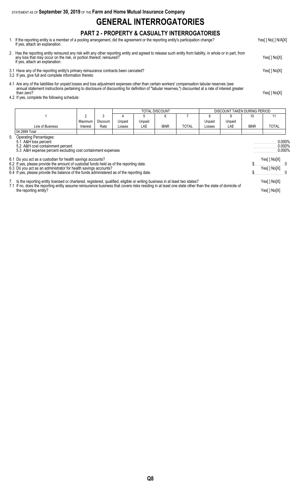STATEMENT AS OF **September 30, 2019** OF THE **Farm and Home Mutual Insurance Company**

## **GENERAL INTERROGATORIES**

### **PART 2 - PROPERTY & CASUALTY INTERROGATORIES**

- 1. If the reporting entity is a member of a pooling arrangement, did the agreement or the reporting entity's participation change? Yes[ ] No[ ] N/A[X] If yes, attach an explanation.
- 2 . Has the reporting entity reinsured any risk with any other reporting entity and agreed to release such entity from liability, in whole or in part, from any loss that may occur on the risk, or portion thereof, reinsured? Yes[ ] No[X] If yes, attach an explanation.
- 3.1 Have any of the reporting entity's primary reinsurance contracts been canceled? Yes[ ] No[X]
- 3.2 If yes, give full and complete information thereto
- 4.1 Are any of the liabilities for unpaid losses and loss adjustment expenses other than certain workers' compensation tabular reserves (see annual statement instructions pertaining to disclosure of discounting for definition of "tabular reserves,") discounted at a rate of interest greater than zero? Yes[ ] No[X]
- 4.2 If yes, complete the following schedule:

|                                                                                                                                                      |                                                                                                                                                                                                                                                                                                                        |          |          |        | TOTAL DISCOUNT<br>DISCOUNT TAKEN DURING PERIOD |             |              |        |                                  |             |                            |
|------------------------------------------------------------------------------------------------------------------------------------------------------|------------------------------------------------------------------------------------------------------------------------------------------------------------------------------------------------------------------------------------------------------------------------------------------------------------------------|----------|----------|--------|------------------------------------------------|-------------|--------------|--------|----------------------------------|-------------|----------------------------|
|                                                                                                                                                      |                                                                                                                                                                                                                                                                                                                        | 2        | 3        |        |                                                | 6           |              |        | 9                                | 10          | 11                         |
|                                                                                                                                                      |                                                                                                                                                                                                                                                                                                                        | Maximum  | Discount | Unpaid | Unpaid                                         |             |              | Unpaid | Unpaid                           |             |                            |
|                                                                                                                                                      | Line of Business                                                                                                                                                                                                                                                                                                       | Interest | Rate     | Losses | LAE                                            | <b>IBNR</b> | <b>TOTAL</b> | Losses | LAE                              | <b>IBNR</b> | TOTAL                      |
|                                                                                                                                                      | 04.2999 Total                                                                                                                                                                                                                                                                                                          |          |          |        |                                                |             |              |        |                                  |             |                            |
| 5. Operating Percentages:<br>5.1 A&H loss percent<br>5.2 A&H cost containment percent<br>5.3 A&H expense percent excluding cost containment expenses |                                                                                                                                                                                                                                                                                                                        |          |          |        |                                                |             |              |        | 0.000%<br>$0.000\%$<br>$0.000\%$ |             |                            |
|                                                                                                                                                      | 6.1 Do you act as a custodian for health savings accounts?<br>6.2 If yes, please provide the amount of custodial funds held as of the reporting date.<br>6.3 Do you act as an administrator for health savings accounts?<br>6.4 If yes, please provide the balance of the funds administered as of the reporting date. |          |          |        |                                                |             |              |        |                                  |             | Yes[] No[X]<br>Yes[] No[X] |
|                                                                                                                                                      | 7. Is the reporting entity licensed or chartered, registered, qualified, eligible or writing business in at least two states?<br>7.1 If no, does the reporting entity assume reinsurance business that covers risks residing in at least one state other than the state of domicile of<br>the reporting entity?        |          |          |        |                                                |             |              |        |                                  |             | Yes[] No[X]<br>Yes[] No[X] |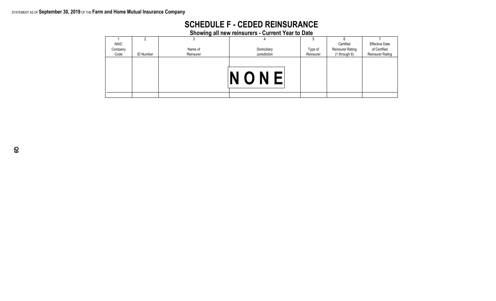### STATEMENT AS OF **September 30, 2019** OF THE **Farm and Home Mutual Insurance Company**

| <b>SCHEDULE F - CEDED REINSURANCE</b>             |  |
|---------------------------------------------------|--|
| Showing all new reinsurers - Current Year to Date |  |

|         |                  |           | <b>Prowing an new remography - Ourrent rear to Date</b> |           |                         |                         |
|---------|------------------|-----------|---------------------------------------------------------|-----------|-------------------------|-------------------------|
|         |                  |           |                                                         |           |                         |                         |
| NAIC    |                  |           |                                                         |           | Certified               | <b>Effective Date</b>   |
| Company |                  | Name of   | Domiciliary                                             | Type of   | <b>Reinsurer Rating</b> | of Certified            |
| Code    | <b>ID Number</b> | Reinsurer | Jurisdiction                                            | Reinsurer | $(1$ through $6)$       | <b>Reinsurer Rating</b> |
|         |                  |           |                                                         |           |                         |                         |
|         |                  |           | NONE                                                    |           |                         |                         |
|         |                  |           |                                                         |           |                         |                         |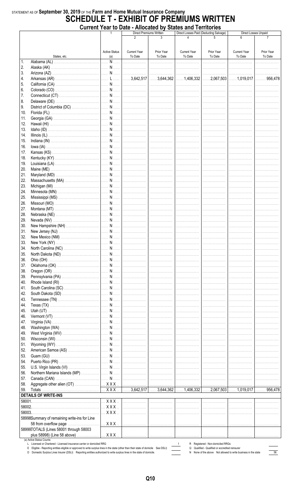### STATEMENT AS OF September 30, 2019 OF THE Farm and Home Mutual Insurance Company **SCHEDULE T - EXHIBIT OF PREMIUMS WRITTEN Current Year to Date - Allocated by States and Territories**

|            |                                                                                                                                                                                                                 | Direct Losses Paid (Deducting Salvage)<br>Direct Premiums Written<br>$\mathbf{1}$<br>$\mathfrak{p}$ |                                | Direct Losses Unpaid  |                                |                                                                                    |                                |                       |
|------------|-----------------------------------------------------------------------------------------------------------------------------------------------------------------------------------------------------------------|-----------------------------------------------------------------------------------------------------|--------------------------------|-----------------------|--------------------------------|------------------------------------------------------------------------------------|--------------------------------|-----------------------|
|            |                                                                                                                                                                                                                 |                                                                                                     |                                |                       |                                |                                                                                    |                                |                       |
|            | States, etc.                                                                                                                                                                                                    | <b>Active Status</b><br>(a)                                                                         | <b>Current Year</b><br>To Date | Prior Year<br>To Date | <b>Current Year</b><br>To Date | Prior Year<br>To Date                                                              | <b>Current Year</b><br>To Date | Prior Year<br>To Date |
| 1.         |                                                                                                                                                                                                                 |                                                                                                     |                                |                       | .                              | .                                                                                  | .                              | .                     |
| 2.         |                                                                                                                                                                                                                 |                                                                                                     |                                |                       |                                | .                                                                                  | .                              |                       |
| 3.         |                                                                                                                                                                                                                 |                                                                                                     |                                |                       |                                |                                                                                    |                                | .                     |
| 4.         |                                                                                                                                                                                                                 |                                                                                                     |                                |                       |                                |                                                                                    |                                |                       |
| 5.<br>6.   |                                                                                                                                                                                                                 |                                                                                                     |                                |                       |                                | .                                                                                  | .<br>.                         | .<br>.                |
| 7.         |                                                                                                                                                                                                                 |                                                                                                     |                                |                       |                                | .                                                                                  | 1.                             | .                     |
| 8.         |                                                                                                                                                                                                                 |                                                                                                     |                                |                       |                                |                                                                                    |                                | .                     |
| 9.         |                                                                                                                                                                                                                 |                                                                                                     |                                |                       |                                |                                                                                    |                                | .                     |
| 10.        |                                                                                                                                                                                                                 |                                                                                                     |                                |                       |                                |                                                                                    |                                | .                     |
| 11.        |                                                                                                                                                                                                                 |                                                                                                     |                                |                       |                                | .                                                                                  |                                | .                     |
| 12.<br>13. |                                                                                                                                                                                                                 |                                                                                                     |                                | .<br>.                | .<br>.                         | .<br>.                                                                             | .                              |                       |
| 14.        |                                                                                                                                                                                                                 |                                                                                                     |                                | .                     | .                              | .                                                                                  | .<br>.                         |                       |
| 15.        |                                                                                                                                                                                                                 |                                                                                                     |                                | .                     | .                              | .                                                                                  | .                              |                       |
| 16.        |                                                                                                                                                                                                                 |                                                                                                     |                                | .                     | .                              | .                                                                                  | . <b>.</b> .                   |                       |
| 17.        |                                                                                                                                                                                                                 |                                                                                                     |                                |                       |                                | .                                                                                  | .                              | .                     |
| 18.        |                                                                                                                                                                                                                 |                                                                                                     |                                |                       |                                |                                                                                    |                                | .                     |
| 19.        |                                                                                                                                                                                                                 |                                                                                                     |                                |                       |                                |                                                                                    |                                | .                     |
| 20.<br>21. |                                                                                                                                                                                                                 |                                                                                                     |                                |                       |                                |                                                                                    |                                | .                     |
| 22.        |                                                                                                                                                                                                                 |                                                                                                     |                                |                       |                                |                                                                                    |                                | .<br>.                |
| 23.        |                                                                                                                                                                                                                 |                                                                                                     |                                |                       |                                | .                                                                                  |                                | .                     |
| 24.        |                                                                                                                                                                                                                 |                                                                                                     |                                |                       |                                | .                                                                                  | .                              | .                     |
| 25.        |                                                                                                                                                                                                                 |                                                                                                     |                                |                       | .                              | .                                                                                  | .                              |                       |
| 26.        |                                                                                                                                                                                                                 |                                                                                                     |                                | .                     | .                              | .                                                                                  | .                              |                       |
| 27.        |                                                                                                                                                                                                                 |                                                                                                     |                                | .                     | .                              | .                                                                                  | .                              |                       |
| 28.<br>29. |                                                                                                                                                                                                                 |                                                                                                     |                                | .                     | .<br>                          | .<br>.                                                                             | .                              |                       |
| 30.        |                                                                                                                                                                                                                 |                                                                                                     |                                |                       |                                | .                                                                                  | .<br>.                         | .                     |
| 31.        |                                                                                                                                                                                                                 |                                                                                                     |                                |                       |                                | .                                                                                  | .                              | .                     |
| 32.        |                                                                                                                                                                                                                 |                                                                                                     |                                |                       |                                |                                                                                    |                                |                       |
| 33.        |                                                                                                                                                                                                                 |                                                                                                     |                                |                       |                                |                                                                                    |                                |                       |
| 34.        |                                                                                                                                                                                                                 |                                                                                                     |                                |                       |                                |                                                                                    |                                |                       |
| 35.        |                                                                                                                                                                                                                 |                                                                                                     |                                | .                     |                                |                                                                                    |                                |                       |
| 36.<br>37. |                                                                                                                                                                                                                 |                                                                                                     |                                | .<br>.                | .<br>.                         | .                                                                                  | .                              |                       |
| 38.        |                                                                                                                                                                                                                 |                                                                                                     |                                | .                     | .                              | .                                                                                  |                                |                       |
| 39.        |                                                                                                                                                                                                                 |                                                                                                     |                                | .                     | .                              | .                                                                                  | .                              |                       |
| 40.        |                                                                                                                                                                                                                 |                                                                                                     |                                | .                     | .                              | .                                                                                  |                                |                       |
| 41.        |                                                                                                                                                                                                                 |                                                                                                     |                                | .                     | .                              | .                                                                                  | .                              |                       |
| 42.        |                                                                                                                                                                                                                 |                                                                                                     |                                | .                     | .                              | .                                                                                  | .                              | .                     |
| 43.<br>44. |                                                                                                                                                                                                                 |                                                                                                     |                                |                       | .                              | .<br>.                                                                             | .<br>.                         | .                     |
| 45.        |                                                                                                                                                                                                                 |                                                                                                     |                                |                       |                                | .                                                                                  | 1.                             |                       |
| 46.        |                                                                                                                                                                                                                 |                                                                                                     |                                | .                     | 1.                             | .                                                                                  | 1.                             |                       |
| 47.        |                                                                                                                                                                                                                 |                                                                                                     | .                              | .                     | .                              | .                                                                                  | .                              |                       |
| 48.        |                                                                                                                                                                                                                 |                                                                                                     |                                | .                     | .                              | .                                                                                  |                                |                       |
| 49.        |                                                                                                                                                                                                                 |                                                                                                     |                                | .                     | .                              | .                                                                                  | .                              |                       |
| 50.<br>51. |                                                                                                                                                                                                                 |                                                                                                     |                                | .<br>.                | .<br>.                         | .<br>.                                                                             | .                              |                       |
| 52.        |                                                                                                                                                                                                                 |                                                                                                     |                                | .                     | . <b>.</b> .                   | .                                                                                  | .                              |                       |
| 53.        |                                                                                                                                                                                                                 |                                                                                                     |                                | .                     | .                              | .                                                                                  | .                              |                       |
| 54.        |                                                                                                                                                                                                                 |                                                                                                     |                                |                       |                                | .                                                                                  | .                              | .                     |
| 55.        |                                                                                                                                                                                                                 |                                                                                                     |                                |                       |                                | .                                                                                  | .                              | .                     |
| 56.        |                                                                                                                                                                                                                 |                                                                                                     |                                |                       |                                | .                                                                                  | 1.                             |                       |
| 57.        |                                                                                                                                                                                                                 |                                                                                                     |                                |                       |                                | .                                                                                  | 1.                             |                       |
| 58.<br>59. |                                                                                                                                                                                                                 |                                                                                                     |                                |                       |                                | .                                                                                  |                                |                       |
|            | <b>DETAILS OF WRITE-INS</b>                                                                                                                                                                                     |                                                                                                     |                                |                       |                                |                                                                                    |                                |                       |
|            |                                                                                                                                                                                                                 |                                                                                                     | .                              | .                     | .                              | .                                                                                  | .                              | .                     |
| 58002.     |                                                                                                                                                                                                                 |                                                                                                     | .                              |                       |                                |                                                                                    |                                |                       |
| 58003.     |                                                                                                                                                                                                                 |                                                                                                     | .                              | .                     | .                              | .                                                                                  |                                |                       |
|            | 58998Summary of remaining write-ins for Line                                                                                                                                                                    |                                                                                                     |                                |                       |                                |                                                                                    |                                |                       |
|            | 58 from overflow page                                                                                                                                                                                           |                                                                                                     |                                |                       |                                | .                                                                                  | .                              | .                     |
|            | 58999TOTALS (Lines 58001 through 58003<br>plus 58998) (Line 58 above)                                                                                                                                           |                                                                                                     |                                |                       |                                |                                                                                    |                                |                       |
|            | (a) Active Status Counts:                                                                                                                                                                                       |                                                                                                     |                                |                       |                                | .                                                                                  | .                              |                       |
|            | L Licensed or Chartered - Licensed insurance carrier or domiciled RRG<br>E Eligible - Reporting entities eligible or approved to write surplus lines in the state (other than their state of domicile See DSLI) |                                                                                                     |                                |                       | Q                              | R Registered - Non-domiciled RRGs<br>Qualified - Qualified or accredited reinsurer |                                |                       |
|            | D Domestic Surplus Lines Insurer (DSLI) Reporting entities authorized to write surplus lines in the state of domicile.                                                                                          |                                                                                                     |                                |                       |                                | N None of the above Not allowed to write business in the state                     |                                | 56                    |

N None of the above Not allowed to write business in the state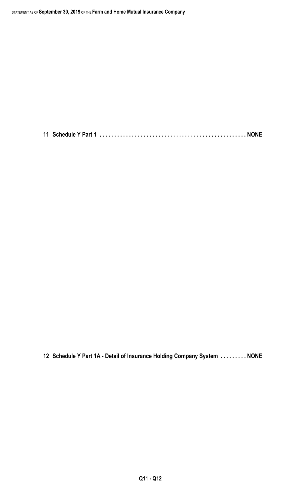**11 Schedule Y Part 1 . . . . . . . . . . . . . . . . . . . . . . . . . . . . . . . . . . . . . . . . . . . . . . . . . . NONE**

**12 Schedule Y Part 1A - Detail of Insurance Holding Company System . . . . . . . . . NONE**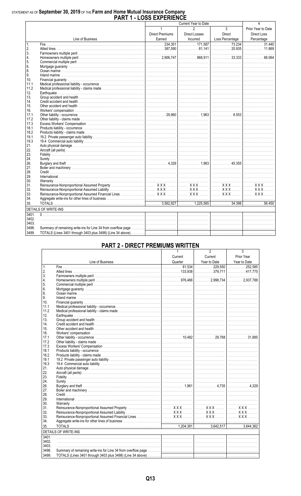# STATEMENT AS OF September 30, 2019 OF THE Farm and Home Mutual Insurance Company<br>PART 1 - LOSS EXPERIENCE

|                |                                                                                                                                                                                                                                                              |                        | Current Year to Date |                 |                    |
|----------------|--------------------------------------------------------------------------------------------------------------------------------------------------------------------------------------------------------------------------------------------------------------|------------------------|----------------------|-----------------|--------------------|
|                |                                                                                                                                                                                                                                                              | $\mathbf{1}$           | $\mathfrak{p}$       | $\mathbf{3}$    | Prior Year to Date |
|                |                                                                                                                                                                                                                                                              | <b>Direct Premiums</b> | Direct Losses        | Direct          | Direct Loss        |
|                | Line of Business                                                                                                                                                                                                                                             | Earned                 | Incurred             | Loss Percentage |                    |
| $\mathbf{1}$ . |                                                                                                                                                                                                                                                              |                        |                      |                 |                    |
| 2.             |                                                                                                                                                                                                                                                              |                        |                      |                 |                    |
| 3.             |                                                                                                                                                                                                                                                              |                        |                      |                 |                    |
| 4.             |                                                                                                                                                                                                                                                              |                        |                      |                 |                    |
| 5.             |                                                                                                                                                                                                                                                              |                        |                      |                 |                    |
| 6.             |                                                                                                                                                                                                                                                              |                        |                      |                 |                    |
| 8.             |                                                                                                                                                                                                                                                              |                        |                      |                 |                    |
| 9.             |                                                                                                                                                                                                                                                              |                        |                      |                 |                    |
| 10.            |                                                                                                                                                                                                                                                              |                        |                      |                 |                    |
| 11.1           |                                                                                                                                                                                                                                                              |                        |                      |                 |                    |
| 11.2           |                                                                                                                                                                                                                                                              |                        |                      |                 |                    |
|                |                                                                                                                                                                                                                                                              |                        |                      |                 |                    |
| 12.<br>13.     |                                                                                                                                                                                                                                                              |                        |                      |                 |                    |
| 14.            |                                                                                                                                                                                                                                                              |                        |                      |                 |                    |
|                |                                                                                                                                                                                                                                                              |                        |                      |                 |                    |
| 15.            |                                                                                                                                                                                                                                                              |                        |                      |                 |                    |
| 16.            |                                                                                                                                                                                                                                                              |                        |                      |                 |                    |
| 17.1           |                                                                                                                                                                                                                                                              |                        |                      |                 |                    |
| 17.2           |                                                                                                                                                                                                                                                              |                        |                      |                 |                    |
| 17.3           |                                                                                                                                                                                                                                                              |                        |                      |                 |                    |
| 18.1           |                                                                                                                                                                                                                                                              |                        |                      |                 |                    |
| 18.2           |                                                                                                                                                                                                                                                              |                        |                      |                 |                    |
| 19.1           |                                                                                                                                                                                                                                                              |                        |                      |                 |                    |
| 19.3           |                                                                                                                                                                                                                                                              |                        |                      |                 |                    |
| 21.            |                                                                                                                                                                                                                                                              |                        |                      |                 |                    |
| 22.            |                                                                                                                                                                                                                                                              |                        |                      |                 |                    |
| 23.            |                                                                                                                                                                                                                                                              |                        |                      |                 |                    |
| 24.            |                                                                                                                                                                                                                                                              |                        |                      |                 |                    |
| 26.            |                                                                                                                                                                                                                                                              |                        |                      |                 |                    |
| 27.            |                                                                                                                                                                                                                                                              |                        |                      |                 |                    |
| 28.            |                                                                                                                                                                                                                                                              |                        |                      |                 |                    |
| 29.            |                                                                                                                                                                                                                                                              |                        |                      |                 |                    |
| 30.            |                                                                                                                                                                                                                                                              |                        |                      |                 |                    |
| 31.            |                                                                                                                                                                                                                                                              |                        |                      |                 |                    |
| 32.            |                                                                                                                                                                                                                                                              |                        |                      |                 |                    |
| 33.            |                                                                                                                                                                                                                                                              |                        |                      |                 |                    |
| 34.            |                                                                                                                                                                                                                                                              |                        |                      |                 |                    |
| 35.            |                                                                                                                                                                                                                                                              |                        |                      |                 |                    |
|                | <b>DETAILS OF WRITE-INS</b><br>the control of the control of the control of the control of the control of the control of the control of the control of the control of the control of the control of the control of the control of the control of the control |                        |                      |                 |                    |
| 3401.          |                                                                                                                                                                                                                                                              |                        |                      |                 |                    |
| 3402.          |                                                                                                                                                                                                                                                              |                        |                      |                 |                    |
| 3403.          |                                                                                                                                                                                                                                                              |                        |                      |                 |                    |
| 3498.          |                                                                                                                                                                                                                                                              |                        |                      |                 |                    |
| 3499.          |                                                                                                                                                                                                                                                              |                        |                      |                 |                    |
|                |                                                                                                                                                                                                                                                              |                        |                      |                 |                    |

### **PART 2 - DIRECT PREMIUMS WRITTEN**

|                 |                             |         | 2            | 3            |
|-----------------|-----------------------------|---------|--------------|--------------|
|                 |                             | Current | Current      | Prior Year   |
|                 | Line of Business            | Quarter | Year to Date | Year to Date |
| $\mathbf{1}$    |                             |         |              |              |
| 2.              |                             |         |              |              |
| 3.              |                             |         |              |              |
| 4.              |                             |         |              |              |
| 5.              |                             |         |              |              |
| 6.              |                             |         |              |              |
| 8.              |                             |         |              |              |
| 9.              |                             |         |              |              |
| 10 <sup>1</sup> |                             |         |              |              |
| 11.1            |                             |         |              |              |
| 11.2            |                             |         |              |              |
| 12.             |                             |         |              |              |
| 13.             |                             |         |              |              |
| 14.             |                             |         |              |              |
| 15.             |                             |         |              |              |
| 16.             |                             |         |              |              |
| 17.1            |                             |         |              |              |
| 17.2            |                             |         |              |              |
| 17.3            |                             |         |              |              |
| 18.1            |                             |         |              |              |
| 18.2            |                             |         |              |              |
| 19.1            |                             |         |              |              |
| 19.3            |                             |         |              |              |
| 21.             |                             |         |              |              |
| 22.             |                             |         |              |              |
| 23.             |                             |         |              |              |
| 24.             |                             |         |              |              |
| 26.             |                             |         |              |              |
| 27.             |                             |         |              |              |
| 28.             |                             |         |              |              |
| 29.             |                             |         |              |              |
| 30.             |                             |         |              |              |
| 31.             |                             |         |              |              |
| 32.             |                             |         |              |              |
| 33.             |                             |         |              |              |
| 34.             |                             |         |              |              |
| 35.             |                             |         |              |              |
|                 | <b>DETAILS OF WRITE-INS</b> |         |              |              |
| 3401.           |                             |         |              |              |
| 3402.           |                             |         |              |              |
| 3403.           |                             |         |              |              |
| 3498.           |                             |         |              |              |
| 3499.           |                             |         |              |              |
|                 |                             |         |              |              |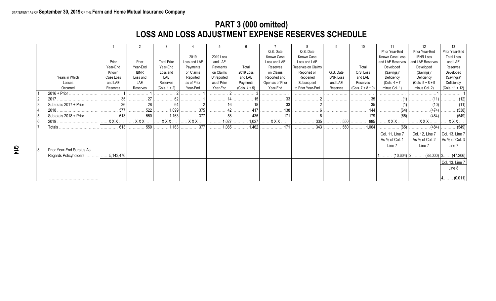## **PART 3 (000 omitted) LOSS AND LOSS ADJUSTMENT EXPENSE RESERVES SCHEDULE**

|      |                           |                 |                            |                    |                            |                |                 |                  |                    |                  |                     |                  | 12 <sup>°</sup>     | 13                           |
|------|---------------------------|-----------------|----------------------------|--------------------|----------------------------|----------------|-----------------|------------------|--------------------|------------------|---------------------|------------------|---------------------|------------------------------|
|      |                           |                 |                            |                    |                            |                |                 | Q.S. Date        | Q.S. Date          |                  |                     | Prior Year-End   | Prior Year-End      | Prior Year-End               |
|      |                           |                 |                            |                    | 2019                       | 2019 Loss      |                 | Known Case       | Known Case         |                  |                     | Known Case Loss  | <b>IBNR Loss</b>    | <b>Total Loss</b>            |
|      |                           | Prior           | Prior                      | <b>Total Prior</b> | Loss and LAE               | and LAE        |                 | Loss and LAE     | Loss and LAE       |                  |                     | and LAE Reserves | and LAE Reserves    | and LAE                      |
|      |                           | Year-End        | Year-End                   | Year-End           | Payments                   | Payments       | Total           | Reserves         | Reserves on Claims |                  | Total               | Developed        | Developed           | Reserves                     |
|      |                           | Known           | <b>IBNR</b>                | Loss and           | on Claims                  | on Claims      | 2019 Loss       | on Claims        | Reported or        | Q.S. Date        | Q.S. Loss           | (Savings)/       | (Savings)/          | Developed                    |
|      | Years in Which            | Case Loss       | Loss and                   | LAE                | Reported                   | Unreported     | and LAE         | Reported and     | Reopened           | <b>IBNR Loss</b> | and LAE             | Deficiency       | Deficiency          | (Savings)/                   |
|      | Losses                    | and LAE         | LAE                        | Reserves           | as of Prior                | as of Prior    | Payments        | Open as of Prior | Subsequent         | and LAE          | Reserves            | $(Cols. 4 + 7)$  | $(Cols. 5 + 8 + 9)$ | Deficiency                   |
|      | Occurred                  | Reserves        | Reserves                   | $(Cols. 1 + 2)$    | Year-End                   | Year-End       | $(Cols. 4 + 5)$ | Year-End         | to Prior Year-End  | Reserves         | $(Cols. 7 + 8 + 9)$ | minus Col. 1)    | minus Col. 2)       | (Cols. $11 + 12$ )           |
|      | $2016 + Prior$            |                 |                            |                    |                            |                |                 |                  |                    |                  |                     |                  |                     |                              |
|      |                           |                 | $\cdots$ 27 $\cdots$       |                    | .                          | <u></u> 14     |                 |                  | .                  | .                | .                   |                  |                     |                              |
| l 3. | Subtotals 2017 + Prior.   | 36 <sup>1</sup> | 28                         | 64 l               |                            |                |                 |                  | .                  | .                | .                   |                  | (10)                |                              |
|      | 2018.                     | 577             | . 522                      |                    | $\ldots \ldots \ldots 375$ | . 42           |                 | 138<br>.         | .                  | .                | .                   | .                | (474)               | . (538)                      |
| l 5. | Subtotals 2018 + Prior.   | 613             | $\ldots \ldots \ldots 550$ | $\ldots$ 1,163     | . 377                      | . 58           |                 | . 171            |                    |                  | 179<br>.            | . (65)           | . (484)             | $\ldots \ldots \ldots (549)$ |
| l 6. | 2019                      | $XXX$           | <b>XXX</b>                 | <b>XXX</b>         | <b>XXX</b>                 | $\ldots$ 1,027 | $\ldots$ 1,027  | <b>XXX</b>       | . 335              | 550              | 885                 | <b>XXX</b>       |                     | $XXX$                        |
|      | Totals                    | 613             | . 550                      | $\ldots$ 1,163     | . 377                      | 1,085          | $\ldots$ 1,462  | $\ldots$ 171     | 343                | . 550            |                     | (65)             | (484)               | . (549)                      |
|      |                           |                 |                            |                    |                            |                |                 |                  |                    |                  |                     |                  |                     |                              |
|      |                           |                 |                            |                    |                            |                |                 |                  |                    |                  |                     | Col. 11, Line 7  | Col. 12, Line 7     | Col. 13, Line 7              |
|      |                           |                 |                            |                    |                            |                |                 |                  |                    |                  |                     | As % of Col. 1   | As % of Col. 2      | As % of Col. $3$             |
|      |                           |                 |                            |                    |                            |                |                 |                  |                    |                  |                     | Line 7           | Line 7              | Line 7                       |
| 8.   | Prior Year-End Surplus As |                 |                            |                    |                            |                |                 |                  |                    |                  |                     |                  |                     |                              |
|      | Regards Policyholders.    | 5,143,476       |                            |                    |                            |                |                 |                  |                    |                  |                     | $(10.604)$   2   |                     | $(88.000)$ 3 $(47.206)$      |
|      |                           |                 |                            |                    |                            |                |                 |                  |                    |                  |                     |                  |                     | Col. 13, Line 7              |
|      |                           |                 |                            |                    |                            |                |                 |                  |                    |                  |                     |                  |                     | Line 8                       |
|      |                           |                 |                            |                    |                            |                |                 |                  |                    |                  |                     |                  |                     |                              |
|      |                           |                 |                            |                    |                            |                |                 |                  |                    |                  |                     |                  |                     | $4$ (0.011)                  |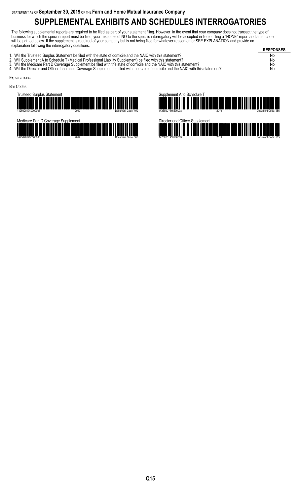# **SUPPLEMENTAL EXHIBITS AND SCHEDULES INTERROGATORIES**

The following supplemental reports are required to be filed as part of your statement filing. However, in the event that your company does not transact the type of business for which the special report must be filed, your response of NO to the specific interrogatory will be accepted in lieu of filing a "NONE" report and a bar code will be printed below. If the supplement is required of your company but is not being filed for whatever reason enter SEE EXPLANATION and provide an explanation following the interrogatory questions.

**RESPONSES** 1. Will the Trusteed Surplus Statement be filed with the state of domicile and the NAIC with this statement? No 2. Will Supplement A to Schedule T (Medical Professional Liability Supplement) be filed with this statement? No 3. Will the Medicare Part D Coverage Supplement be filed with the state of domicile and the NAIC with this statement? No 3. Will the Medicare Part D Coverage Supplement be filed with the state of domicile and the NAIC with this statement?<br>4. Will the Director and Officer Insurance Coverage Supplement be filed with the state of domicile and t Explanations: Bar Codes:







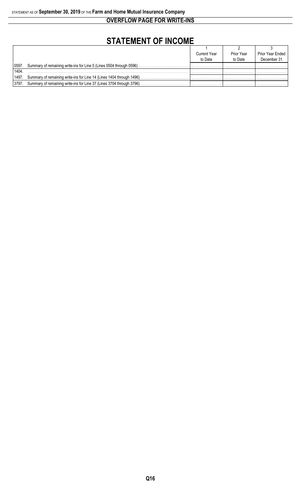**OVERFLOW PAGE FOR WRITE-INS**

# **STATEMENT OF INCOME**

|         |                                                                      | <b>Current Year</b> | <b>Prior Year</b> | Prior Year Ended |
|---------|----------------------------------------------------------------------|---------------------|-------------------|------------------|
|         |                                                                      | to Date             | to Date           | December 31      |
| 0597    | Summary of remaining write-ins for Line 5 (Lines 0504 through 0596)  |                     |                   |                  |
| 1404    |                                                                      |                     |                   |                  |
| 1497.   | Summary of remaining write-ins for Line 14 (Lines 1404 through 1496) |                     |                   |                  |
| l 3797. | Summary of remaining write-ins for Line 37 (Lines 3704 through 3796) |                     |                   |                  |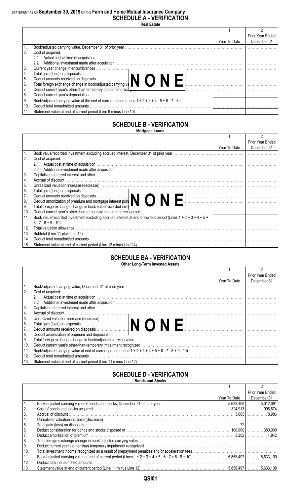### STATEMENT AS OF **September 30, 2019** OF THE **Farm and Home Mutual Insurance Company SCHEDULE A - VERIFICATION**

**Real Estate**

|      |                                                                                                                                                                                                                                |              | Prior Year Ended |
|------|--------------------------------------------------------------------------------------------------------------------------------------------------------------------------------------------------------------------------------|--------------|------------------|
|      |                                                                                                                                                                                                                                | Year To Date | December 31      |
|      |                                                                                                                                                                                                                                |              |                  |
|      | Cost of acquired:                                                                                                                                                                                                              |              |                  |
|      | 2.1                                                                                                                                                                                                                            |              |                  |
|      | $2.2^{\circ}$                                                                                                                                                                                                                  |              |                  |
| 3.   |                                                                                                                                                                                                                                |              |                  |
| 4.   |                                                                                                                                                                                                                                |              |                  |
| 5.   | Total gain (loss) on disposals<br>Deduct amounts received on disposals<br>Total foreign exchange change in book/adjusted carrying va                                                                                           |              |                  |
| 6.   |                                                                                                                                                                                                                                |              |                  |
|      | Deduct current year's other-than-temporary impairment recotomers contained and contained and contained and contained and contained and contained and contained and contained and contained and contained and contained and con |              |                  |
| 8.   | Deduct current year's depreciation                                                                                                                                                                                             |              |                  |
| l 9. |                                                                                                                                                                                                                                |              |                  |
| 10.  | Deduct total nonadmitted amounts                                                                                                                                                                                               |              |                  |
|      |                                                                                                                                                                                                                                |              |                  |

#### **SCHEDULE B - VERIFICATION Mortgage Loans**

|     |                                                                                                                                     |              | <b>Prior Year Ended</b> |
|-----|-------------------------------------------------------------------------------------------------------------------------------------|--------------|-------------------------|
|     |                                                                                                                                     | Year To Date | December 31             |
|     | Book value/recorded investment excluding accrued interest, December 31 of prior year.                                               |              |                         |
| 2.  | Cost of acquired:                                                                                                                   |              |                         |
|     |                                                                                                                                     |              |                         |
|     | $2.2^{\circ}$                                                                                                                       |              |                         |
| 3.  |                                                                                                                                     |              |                         |
| 4.  | Accrual of discount                                                                                                                 |              |                         |
| 5.  |                                                                                                                                     |              |                         |
| 6.  | Total gain (loss) on disposals<br>Deduct amounts received on disposals<br>Deduct amortization of premium and mortgage interest poin |              |                         |
| 7.  |                                                                                                                                     |              |                         |
| 8.  |                                                                                                                                     |              |                         |
| 9.  | Total foreign exchange change in book value/recorded inve                                                                           |              |                         |
| 10. |                                                                                                                                     |              |                         |
| 11. | Book value/recorded investment excluding accrued interest at end of current period (Lines $1 + 2 + 3 + 4 + 5 + 1$ )                 |              |                         |
|     |                                                                                                                                     |              |                         |
| 12. |                                                                                                                                     |              |                         |
| 13. |                                                                                                                                     |              |                         |
| 14. |                                                                                                                                     |              |                         |
| 15. |                                                                                                                                     |              |                         |

#### **SCHEDULE BA - VERIFICATION Other Long-Term Invested Assets**

|      |                                                                                                                                                                                                                                    |              | Prior Year Ended |
|------|------------------------------------------------------------------------------------------------------------------------------------------------------------------------------------------------------------------------------------|--------------|------------------|
|      |                                                                                                                                                                                                                                    | Year To Date | December 31      |
|      |                                                                                                                                                                                                                                    |              |                  |
| 2.   | Cost of acquired:                                                                                                                                                                                                                  |              |                  |
|      | 2.1                                                                                                                                                                                                                                |              |                  |
|      | $2.2^{\circ}$                                                                                                                                                                                                                      |              |                  |
| 3.   | Capitalized deferred interest and other with the contract of the control of the control of the control of the control of the control of the control of the control of the control of the control of the control of the control     |              |                  |
| 14.  |                                                                                                                                                                                                                                    |              |                  |
| I 5. |                                                                                                                                                                                                                                    |              |                  |
| l 6. |                                                                                                                                                                                                                                    |              |                  |
| 7.   |                                                                                                                                                                                                                                    |              |                  |
| 8.   | Deduct amortization of premium and depreciation <i>manufacture in the content of the content of premium and depreciation</i> manufacture in the content of the content of the content of the content of the content of the content |              |                  |
| l 9. |                                                                                                                                                                                                                                    |              |                  |
| 10.  |                                                                                                                                                                                                                                    |              |                  |
| 11.  |                                                                                                                                                                                                                                    |              |                  |
| 12.  | Deduct total nonadmitted amounts                                                                                                                                                                                                   |              |                  |
| 13.  |                                                                                                                                                                                                                                    |              |                  |
|      |                                                                                                                                                                                                                                    |              |                  |

#### **SCHEDULE D - VERIFICATION Bonds and Stocks**

|     | DUIIUS AIIU JIUUNS               |              |                  |
|-----|----------------------------------|--------------|------------------|
|     |                                  |              |                  |
|     |                                  |              | Prior Year Ended |
|     |                                  | Year To Date | December 31      |
|     |                                  |              |                  |
| 12. |                                  |              |                  |
| 3.  |                                  |              |                  |
| 4.  |                                  |              |                  |
| 15. |                                  |              |                  |
| 6.  |                                  |              |                  |
| 17. |                                  |              |                  |
| 8.  |                                  |              |                  |
| Ι9. |                                  |              |                  |
| 10. |                                  |              |                  |
| 11. |                                  |              |                  |
| 12. | Deduct total nonadmitted amounts |              |                  |
| 13. |                                  |              |                  |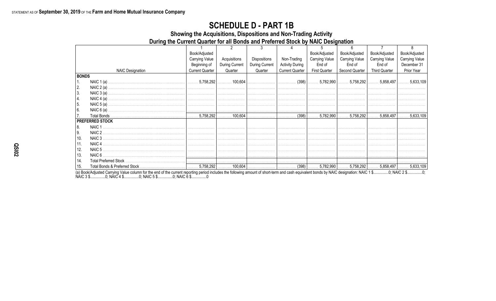## **SCHEDULE D - PART 1B**

Showing the Acquisitions, Dispositions and Non-Trading Activity

During the Current Quarter for all Bonds and Preferred Stock by NAIC Designation

|              |                         | Book/Adjusted          |                |                |                        | Book/Adjusted         | Book/Adjusted  | Book/Adjusted                                                                         | Book/Adjusted         |
|--------------|-------------------------|------------------------|----------------|----------------|------------------------|-----------------------|----------------|---------------------------------------------------------------------------------------|-----------------------|
|              |                         | <b>Carrying Value</b>  | Acquisitions   | Dispositions   | Non-Trading            | <b>Carrying Value</b> | Carrying Value | <b>Carrying Value</b>                                                                 | <b>Carrying Value</b> |
|              |                         | Beginning of           | During Current | During Current | <b>Activity During</b> | End of                | End of         | End of                                                                                | December 31           |
|              | <b>NAIC Designation</b> | <b>Current Quarter</b> | Quarter        | Quarter        | <b>Current Quarter</b> | <b>First Quarter</b>  | Second Quarter | <b>Third Quarter</b>                                                                  | Prior Year            |
| <b>BONDS</b> |                         |                        |                |                |                        |                       |                |                                                                                       |                       |
| 1.           |                         |                        |                |                |                        |                       |                |                                                                                       |                       |
| 2.           |                         |                        |                |                |                        |                       |                |                                                                                       |                       |
| 3.           |                         |                        |                |                |                        |                       |                |                                                                                       |                       |
| 4.           |                         |                        |                |                |                        |                       |                |                                                                                       |                       |
| 5.           |                         |                        |                |                |                        |                       |                |                                                                                       |                       |
| 6.           |                         |                        |                |                |                        |                       |                |                                                                                       |                       |
| 17.          |                         |                        |                |                |                        |                       |                | $\vert$ (398) $\vert$ 5,782,990 $\vert$ 5,758,292 $\vert$ 5,858,497 $\vert$ 5,633,109 |                       |
|              | <b>PREFERRED STOCK</b>  |                        |                |                |                        |                       |                |                                                                                       |                       |
| 18.          | NAIC <sub>1</sub>       |                        |                |                |                        |                       |                |                                                                                       |                       |
| I 9.         | NAIC 2                  |                        |                |                |                        |                       |                |                                                                                       |                       |
| 10.          | NAIC 3                  |                        |                |                |                        |                       |                |                                                                                       |                       |
| 11.          |                         |                        |                |                |                        |                       |                |                                                                                       |                       |
| 12.          |                         |                        |                |                |                        |                       |                |                                                                                       |                       |
| 13.          |                         |                        |                |                |                        |                       |                |                                                                                       |                       |
| 14.          |                         |                        |                |                |                        |                       |                |                                                                                       |                       |
| 15.          |                         |                        |                |                |                        |                       |                |                                                                                       |                       |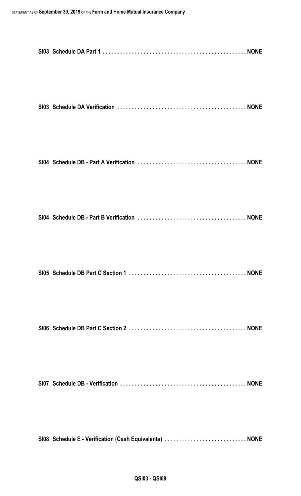| SI08 Schedule E - Verification (Cash Equivalents)  NONE |  |
|---------------------------------------------------------|--|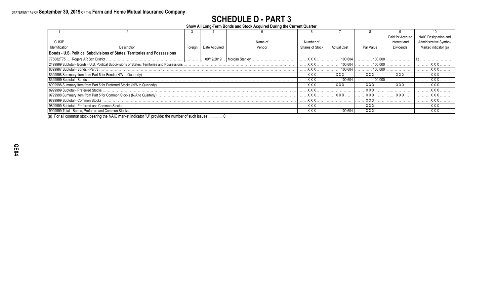# **SCHEDULE D - PART 3**

**Show All Long-Term Bonds and Stock Acquired During the Current Quarter**

|                                                                                               |                                                                            |         |               |                              |                 |             |            | Paid for Accrued | <b>NAIC Designation</b> |
|-----------------------------------------------------------------------------------------------|----------------------------------------------------------------------------|---------|---------------|------------------------------|-----------------|-------------|------------|------------------|-------------------------|
| <b>CUSIP</b>                                                                                  |                                                                            |         |               | Name of                      | Number of       |             |            | Interest and     |                         |
| Identification                                                                                | Description                                                                | Foreign | Date Acquired | Vendor                       | Shares of Stock | Actual Cost | Par Value  | <b>Dividends</b> | Market Indicator (a     |
|                                                                                               | Bonds - U.S. Political Subdivisions of States, Territories and Possessions |         |               |                              |                 |             |            |                  |                         |
|                                                                                               | 775082T75  Rogers AR Sch District.                                         |         |               | 09/12/2019    Morgan Stanley | <b>XXX</b>      | 100,604     | 100,000    |                  |                         |
| 2499999 Subtotal - Bonds - U.S. Political Subdivisions of States, Territories and Possessions |                                                                            |         |               |                              | <b>XXX</b>      | 100.604     | 100,000    |                  |                         |
| 8399997 Subtotal - Bonds - Part 3                                                             |                                                                            |         |               |                              | <b>XXX</b>      | 100.604     | 100.000    |                  | <b>XXX</b>              |
|                                                                                               |                                                                            |         |               |                              | <b>XXX</b>      | <b>XXX</b>  |            | <b>XXX</b>       |                         |
| l 8399999 Subtotal - Bonds.                                                                   |                                                                            |         |               |                              | <b>XXX</b>      | 100604      | 100.000    |                  | <b>XXX</b>              |
|                                                                                               |                                                                            |         |               | <b>XXX</b>                   | <b>XXX</b>      |             | <b>XXX</b> |                  |                         |
|                                                                                               | 8999999 Subtotal - Preferred Stocks                                        |         |               |                              | <b>XXX</b>      |             | <b>XXX</b> |                  | <b>XXX</b>              |
|                                                                                               |                                                                            |         |               |                              | <b>XXX</b>      | <b>XXX</b>  | <b>XXX</b> | <b>XXX</b>       |                         |
| 9799999 Subtotal - Common Stocks                                                              |                                                                            |         |               |                              | <b>XXX</b>      |             | <b>XXX</b> |                  | <b>XXX</b>              |
| 9899999 Subtotal - Preferred and Common Stocks                                                |                                                                            |         |               |                              | <b>XXX</b>      |             | <b>XXX</b> |                  | .                       |
|                                                                                               | 9999999 Total - Bonds. Preferred and Common Stocks                         |         |               |                              | <b>XXX</b>      | 100.604     | <b>XXX</b> |                  | <b>XXX</b>              |

(a) For all common stock bearing the NAIC market indicator "U" provide: the number of such issues ...............0.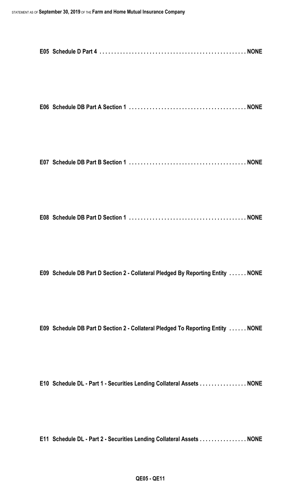|--|--|

```
E07 Schedule DB Part B Section 1 . . . . . . . . . . . . . . . . . . . . . . . . . . . . . . . . . . . . . . . . NONE
```

|--|--|--|

**E09 Schedule DB Part D Section 2 - Collateral Pledged By Reporting Entity . . . . . . NONE**

**E09 Schedule DB Part D Section 2 - Collateral Pledged To Reporting Entity . . . . . . NONE**

**E10 Schedule DL - Part 1 - Securities Lending Collateral Assets . . . . . . . . . . . . . . . . NONE**

**E11 Schedule DL - Part 2 - Securities Lending Collateral Assets . . . . . . . . . . . . . . . . NONE**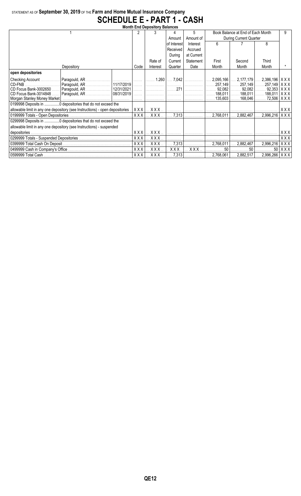## STATEMENT AS OF **September 30, 2019** OF THE **Farm and Home Mutual Insurance Company SCHEDULE E - PART 1 - CASH**

| <b>Month End Depository Balances</b> |                                                                               |            |                     |                |                        |                                   |                                 |                                 |                    |  |
|--------------------------------------|-------------------------------------------------------------------------------|------------|---------------------|----------------|------------------------|-----------------------------------|---------------------------------|---------------------------------|--------------------|--|
|                                      | 2                                                                             |            |                     | 5.             |                        | Book Balance at End of Each Month |                                 | 9                               |                    |  |
|                                      |                                                                               |            | Amount              | Amount of      | During Current Quarter |                                   |                                 |                                 |                    |  |
|                                      |                                                                               |            |                     | of Interest    | Interest               | 6                                 |                                 | 8                               |                    |  |
|                                      |                                                                               |            |                     | Received       | Accrued                |                                   |                                 |                                 |                    |  |
|                                      |                                                                               |            |                     | During         | at Current             |                                   |                                 |                                 |                    |  |
|                                      |                                                                               |            | Rate of             | Current        | Statement              | First                             | Second                          | Third                           |                    |  |
|                                      | Depository                                                                    | Code       | Interest            | Quarter        | Date                   | Month                             | Month                           | Month                           |                    |  |
| open depositories                    |                                                                               |            |                     |                |                        |                                   |                                 |                                 |                    |  |
| Checking Account                     |                                                                               |            | $\ldots$ 1.260      | $\ldots$ 7,042 | .                      | 2,095,166                         | $\ldots$ 2,177,179              | $2,386,196$ $\mid$ X X X $\mid$ |                    |  |
| CD-FNB                               | Paragould, AR                                                                 |            |                     |                | .                      |                                   |                                 |                                 |                    |  |
| CD Focus Bank-3002650                | Paragould, AR<br>12/31/2021                                                   |            |                     | $\ldots$ 271   |                        |                                   | $92,082$ 92,082  92,353   X X X |                                 |                    |  |
| CD Focus Bank-3014848                |                                                                               | . 1        |                     |                | .                      |                                   | $188.011$ $188.011$             | $188,011$ $\mid$ X X X $\mid$   |                    |  |
|                                      |                                                                               |            |                     |                |                        | 135,603                           | $\ldots$ . 168,046              | 72,506   X X X                  |                    |  |
|                                      | 0199998 Deposits in 0 depositories that do not exceed the                     |            |                     |                |                        |                                   |                                 |                                 |                    |  |
|                                      | allowable limit in any one depository (see Instructions) - open depositories. | XXX        |                     |                | .                      |                                   | .                               |                                 | XXXI               |  |
| 0199999 Totals - Open Depositories   |                                                                               | <b>XXX</b> | XXX.                | 7,313          |                        | 2,768,011                         | 2,882,467                       | $2,996,216$ $\mid$ X X X        |                    |  |
|                                      | 0299998 Deposits in 0 depositories that do not exceed the                     |            |                     |                |                        |                                   |                                 |                                 |                    |  |
|                                      | allowable limit in any one depository (see Instructions) - suspended          |            |                     |                |                        |                                   |                                 |                                 |                    |  |
|                                      |                                                                               |            | XXX<br>XXX.         |                |                        |                                   | . 1 1                           |                                 | XXX                |  |
|                                      |                                                                               |            | XXX                 |                |                        |                                   | . 1 1                           |                                 | XXX                |  |
|                                      |                                                                               |            | XXX.                | 7,313          | .                      | 2,768,011                         | 2,882,467                       | $2,996,216$ $\mid$ X X X $\mid$ |                    |  |
|                                      |                                                                               | <b>XXX</b> | XXX.                | XXX.           | XXX.                   | 50                                | 50                              |                                 | $50$ $\vert$ X X X |  |
|                                      |                                                                               | <b>XXX</b> | $.$ $X$ $X$ $X$ $.$ |                | $7,313$                | 2,768,061                         | $\ldots$ 2,882,517 $\ldots$     | $2,996,266$ $\mid$ X X X $\mid$ |                    |  |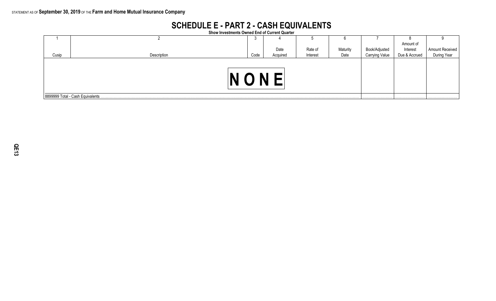## **SCHEDULE E - PART 2 - CASH EQUIVALENTS**

**Show Investments Owned End of Current Quarter**

|       |                                   |      |          |          |          |                | Amount of     |                                |
|-------|-----------------------------------|------|----------|----------|----------|----------------|---------------|--------------------------------|
|       |                                   |      | Date     | Rate of  | Maturity | Book/Adjusted  | Interest      | Amount Received<br>During Year |
| Cusip | Description                       | Code | Acquired | Interest | Date     | Carrying Value | Due & Accrued |                                |
|       |                                   |      |          |          |          |                |               |                                |
|       | 8899999 Total - Cash Equivalents. |      |          |          |          |                |               |                                |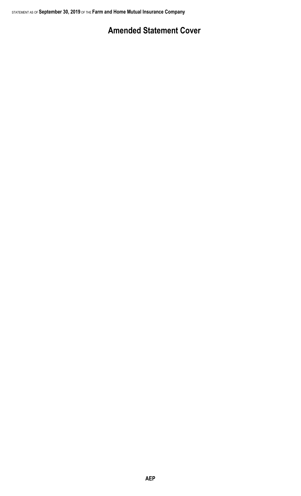## **Amended Statement Cover**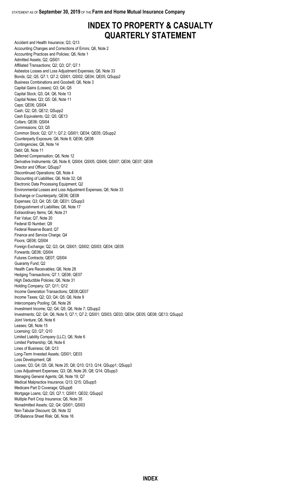## **INDEX TO PROPERTY & CASUALTY QUARTERLY STATEMENT**

Accident and Health Insurance; Q3; Q13 Accounting Changes and Corrections of Errors; Q6, Note 2 Accounting Practices and Policies; Q6, Note 1 Admitted Assets; Q2; QSI01 Affiliated Transactions; Q2; Q3; Q7; Q7.1 Asbestos Losses and Loss Adjustment Expenses; Q6, Note 33 Bonds; Q2; Q5; Q7.1; Q7.2; QSI01; QSI02; QE04; QE05; QSupp2 Business Combinations and Goodwill; Q6, Note 3 Capital Gains (Losses); Q3; Q4; Q5 Capital Stock; Q3; Q4; Q6, Note 13 Capital Notes; Q3; Q5; Q6, Note 11 Caps; QE06; QSI04 Cash; Q2; Q5; QE12; QSupp2 Cash Equivalents; Q2; Q5; QE13 Collars; QE06; QSI04 Commissions; Q3; Q5 Common Stock; Q2; Q7.1; Q7.2; QSI01; QE04; QE05; QSupp2 Counterparty Exposure; Q6, Note 8; QE06; QE08 Contingencies; Q6, Note 14 Debt; Q6, Note 11 Deferred Compensation; Q6, Note 12 Derivative Instruments; Q6, Note 8; QSI04; QSI05; QSI06; QSI07; QE06; QE07; QE08 Director and Officer; QSupp7 Discontinued Operations; Q6, Note 4 Discounting of Liabilities; Q6, Note 32; Q8 Electronic Data Processing Equipment; Q2 Environmental Losses and Loss Adjustment Expenses; Q6, Note 33 Exchange or Counterparty; QE06; QE08 Expenses; Q3; Q4; Q5; Q8; QE01; QSupp3 Extinguishment of Liabilities; Q6, Note 17 Extraordinary Items; Q6, Note 21 Fair Value; Q7, Note 20 Federal ID Number; Q9 Federal Reserve Board; Q7 Finance and Service Charge; Q4 Floors; QE06; QSI04 Foreign Exchange; Q2; Q3; Q4; QSI01; QSI02; QSI03; QE04; QE05 Forwards; QE06; QSI04 Futures Contracts; QE07; QSI04 Guaranty Fund; Q2 Health Care Receivables; Q6, Note 28 Hedging Transactions; Q7.1; QE06; QE07 High Deductible Policies; Q6, Note 31 Holding Company; Q7; Q11; Q12 Income Generation Transactions; QE06;QE07 Income Taxes; Q2; Q3; Q4; Q5; Q6, Note 9 Intercompany Pooling; Q6, Note 26 Investment Income; Q2; Q4; Q5; Q6, Note 7; QSupp2 Investments; Q2; Q4; Q6, Note 5; Q7.1; Q7.2; QSI01; QSI03; QE03; QE04; QE05; QE08; QE13; QSupp2 Joint Venture; Q6, Note 6 Leases; Q6, Note 15 Licensing; Q3; Q7; Q10 Limited Liability Company (LLC); Q6, Note 6 Limited Partnership; Q6, Note 6 Lines of Business; Q8; Q13 Long-Term Invested Assets; QSI01; QE03 Loss Development; Q6 Losses; Q3; Q4; Q5; Q6, Note 25; Q8; Q10; Q13; Q14; QSupp1; QSupp3 Loss Adjustment Expenses; Q3; Q6, Note 26; Q8; Q14; QSupp3 Managing General Agents; Q6, Note 19; Q7 Medical Malpractice Insurance; Q13; Q15; QSupp5 Medicare Part D Coverage; QSupp6 Mortgage Loans; Q2; Q5; Q7.1; QSI01; QE02; QSupp2 Multiple Peril Crop Insurance; Q6, Note 35 Nonadmitted Assets; Q2; Q4; QSI01; QSI03 Non-Tabular Discount; Q6, Note 32 Off-Balance Sheet Risk; Q6, Note 16